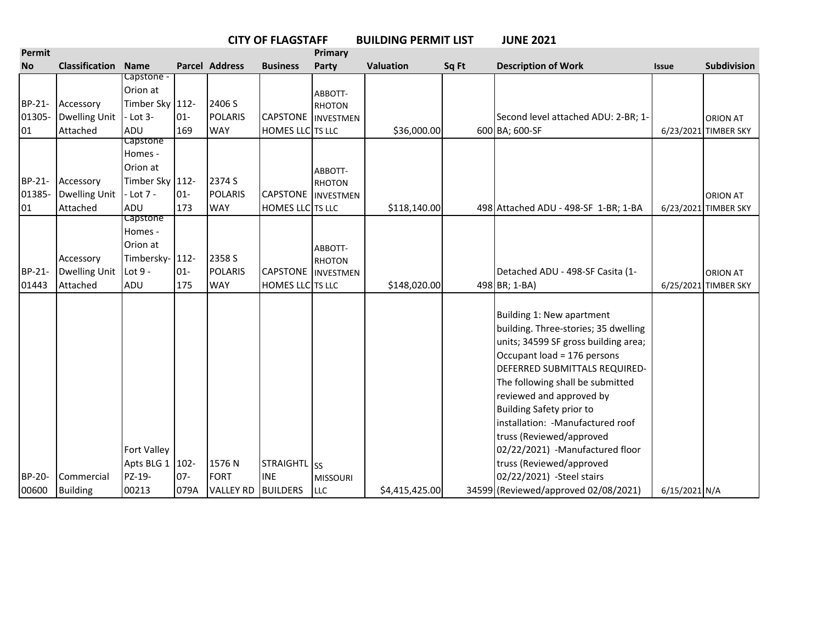|                  | <b>CITY OF FLAGSTAFF</b><br><b>Primary</b> |                                                                  |         |                          |                                       |                          | <b>BUILDING PERMIT LIST</b> |       | <b>JUNE 2021</b>                                                                                                                                                                                                                                                                                                                                                                                                                   |               |                      |
|------------------|--------------------------------------------|------------------------------------------------------------------|---------|--------------------------|---------------------------------------|--------------------------|-----------------------------|-------|------------------------------------------------------------------------------------------------------------------------------------------------------------------------------------------------------------------------------------------------------------------------------------------------------------------------------------------------------------------------------------------------------------------------------------|---------------|----------------------|
| Permit           |                                            |                                                                  |         |                          |                                       |                          |                             |       |                                                                                                                                                                                                                                                                                                                                                                                                                                    |               |                      |
| <b>No</b>        | <b>Classification</b>                      | <b>Name</b>                                                      |         | <b>Parcel Address</b>    | <b>Business</b>                       | Party                    | Valuation                   | Sq Ft | <b>Description of Work</b>                                                                                                                                                                                                                                                                                                                                                                                                         | <b>Issue</b>  | <b>Subdivision</b>   |
| BP-21-<br>01305- | Accessory<br><b>Dwelling Unit</b>          | Capstone -<br>Orion at<br>Timber Sky 112-<br>$-Lot$ 3-           | $01 -$  | 2406 S<br><b>POLARIS</b> | <b>CAPSTONE</b> INVESTMEN             | ABBOTT-<br><b>RHOTON</b> |                             |       | Second level attached ADU: 2-BR; 1-                                                                                                                                                                                                                                                                                                                                                                                                |               | <b>ORION AT</b>      |
| 01               | Attached                                   | ADU                                                              | 169     | <b>WAY</b>               | <b>HOMES LLC</b> TS LLC               |                          | \$36,000.00                 |       | 600 BA; 600-SF                                                                                                                                                                                                                                                                                                                                                                                                                     |               | 6/23/2021 TIMBER SKY |
| BP-21-<br>01385- | Accessory<br><b>Dwelling Unit</b>          | Capstone<br>Homes -<br>Orion at<br>Timber Sky 112-<br>$-Lot 7 -$ | $ 01 -$ | 2374 S<br><b>POLARIS</b> | <b>CAPSTONE</b> INVESTMEN             | ABBOTT-<br><b>RHOTON</b> |                             |       |                                                                                                                                                                                                                                                                                                                                                                                                                                    |               | <b>ORION AT</b>      |
| 01               | Attached                                   | ADU                                                              | 173     | <b>WAY</b>               | <b>HOMES LLC</b> TS LLC               |                          | \$118,140.00                |       | 498 Attached ADU - 498-SF 1-BR; 1-BA                                                                                                                                                                                                                                                                                                                                                                                               |               | 6/23/2021 TIMBER SKY |
| BP-21-           | Accessory<br><b>Dwelling Unit</b>          | Capstone<br>Homes -<br>Orion at<br>Timbersky- 112-<br>Lot 9 -    | $01 -$  | 2358 S<br><b>POLARIS</b> | <b>CAPSTONE</b> INVESTMEN             | ABBOTT-<br><b>RHOTON</b> |                             |       | Detached ADU - 498-SF Casita (1-                                                                                                                                                                                                                                                                                                                                                                                                   |               | <b>ORION AT</b>      |
| 01443            | Attached                                   | ADU                                                              | 175     | <b>WAY</b>               | <b>HOMES LLC</b> TS LLC               |                          | \$148,020.00                |       | 498 BR; 1-BA)                                                                                                                                                                                                                                                                                                                                                                                                                      |               | 6/25/2021 TIMBER SKY |
| BP-20-           | Commercial                                 | Fort Valley<br>Apts BLG 1   102-<br>PZ-19-                       | $07 -$  | 1576N<br><b>FORT</b>     | STRAIGHTL <sub>SS</sub><br><b>INE</b> | <b>MISSOURI</b>          |                             |       | Building 1: New apartment<br>building. Three-stories; 35 dwelling<br>units; 34599 SF gross building area;<br>Occupant load = 176 persons<br>DEFERRED SUBMITTALS REQUIRED-<br>The following shall be submitted<br>reviewed and approved by<br>Building Safety prior to<br>installation: - Manufactured roof<br>truss (Reviewed/approved<br>02/22/2021) -Manufactured floor<br>truss (Reviewed/approved<br>02/22/2021) -Steel stairs |               |                      |
| 00600            | <b>Building</b>                            | 00213                                                            | 079A    | VALLEY RD BUILDERS       |                                       | <b>LLC</b>               | \$4,415,425.00              |       | 34599 (Reviewed/approved 02/08/2021)                                                                                                                                                                                                                                                                                                                                                                                               | 6/15/2021 N/A |                      |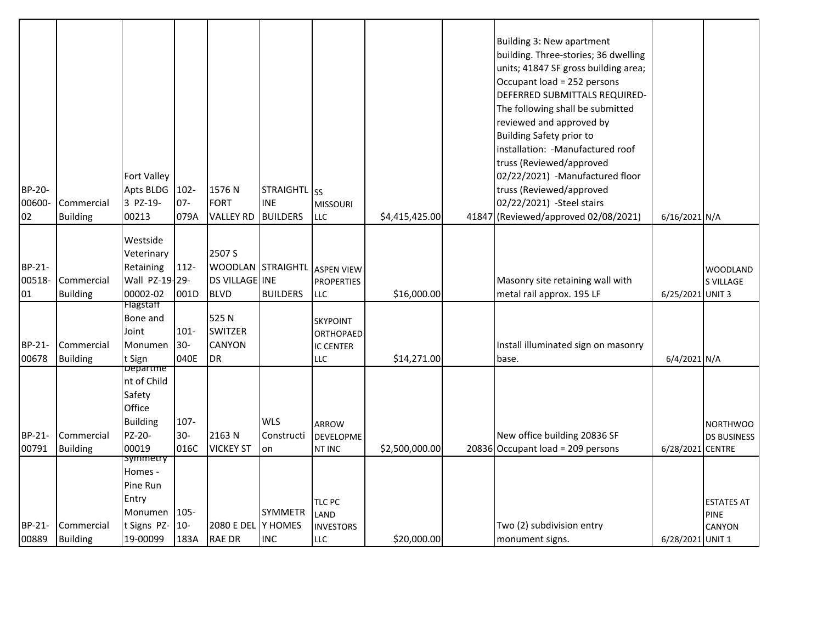| BP-20-<br>00600-<br>02 | Commercial<br><b>Building</b> | Fort Valley<br>Apts BLDG<br>3 PZ-19-<br>00213                                            | 102-<br>$07 -$<br>079A   | 1576N<br><b>FORT</b><br><b>VALLEY RD</b>                                | STRAIGHTL SS<br><b>INE</b><br><b>BUILDERS</b> | <b>MISSOURI</b><br><b>LLC</b>                           | \$4,415,425.00 | Building 3: New apartment<br>building. Three-stories; 36 dwelling<br>units; 41847 SF gross building area;<br>Occupant load = 252 persons<br>DEFERRED SUBMITTALS REQUIRED-<br>The following shall be submitted<br>reviewed and approved by<br><b>Building Safety prior to</b><br>installation: - Manufactured roof<br>truss (Reviewed/approved<br>02/22/2021) -Manufactured floor<br>truss (Reviewed/approved<br>02/22/2021) -Steel stairs<br>41847 (Reviewed/approved 02/08/2021) | 6/16/2021 N/A    |                                            |
|------------------------|-------------------------------|------------------------------------------------------------------------------------------|--------------------------|-------------------------------------------------------------------------|-----------------------------------------------|---------------------------------------------------------|----------------|-----------------------------------------------------------------------------------------------------------------------------------------------------------------------------------------------------------------------------------------------------------------------------------------------------------------------------------------------------------------------------------------------------------------------------------------------------------------------------------|------------------|--------------------------------------------|
| BP-21-<br>00518-<br>01 | Commercial<br><b>Building</b> | Westside<br>Veterinary<br>Retaining<br>Wall PZ-19-29-<br>00002-02                        | 112-<br>001D             | 2507 S<br>WOODLAN STRAIGHTL ASPEN VIEW<br>DS VILLAGE INE<br><b>BLVD</b> | <b>BUILDERS</b>                               | <b>PROPERTIES</b><br>LLC                                | \$16,000.00    | Masonry site retaining wall with<br>metal rail approx. 195 LF                                                                                                                                                                                                                                                                                                                                                                                                                     | 6/25/2021 UNIT 3 | <b>WOODLAND</b><br><b>S VILLAGE</b>        |
| BP-21-<br>00678        | Commercial<br><b>Building</b> | Flagstaff<br>Bone and<br>Joint<br>Monumen<br>t Sign                                      | $101 -$<br>$30-$<br>040E | 525 N<br><b>SWITZER</b><br><b>CANYON</b><br><b>DR</b>                   |                                               | SKYPOINT<br><b>ORTHOPAED</b><br><b>IC CENTER</b><br>LLC | \$14,271.00    | Install illuminated sign on masonry<br>base.                                                                                                                                                                                                                                                                                                                                                                                                                                      | 6/4/2021 N/A     |                                            |
| BP-21-<br>00791        | Commercial<br><b>Building</b> | <b>Departme</b><br>nt of Child<br>Safety<br>Office<br><b>Building</b><br>PZ-20-<br>00019 | $107 -$<br>$30-$<br>016C | 2163N<br><b>VICKEY ST</b>                                               | <b>WLS</b><br>Constructi<br>on                | ARROW<br><b>DEVELOPME</b><br><b>NT INC</b>              | \$2,500,000.00 | New office building 20836 SF<br>20836 Occupant load = 209 persons                                                                                                                                                                                                                                                                                                                                                                                                                 | 6/28/2021 CENTRE | <b>NORTHWOO</b><br><b>DS BUSINESS</b>      |
| BP-21-<br>00889        | Commercial<br><b>Building</b> | symmetry<br>Homes -<br>Pine Run<br>Entry<br>Monumen<br>t Signs PZ-<br>19-00099           | 105-<br>$10-$<br>183A    | 2080 E DEL<br><b>RAE DR</b>                                             | <b>SYMMETR</b><br>Y HOMES<br><b>INC</b>       | TLC PC<br>LAND<br><b>INVESTORS</b><br>LLC               | \$20,000.00    | Two (2) subdivision entry<br>monument signs.                                                                                                                                                                                                                                                                                                                                                                                                                                      | 6/28/2021 UNIT 1 | <b>ESTATES AT</b><br><b>PINE</b><br>CANYON |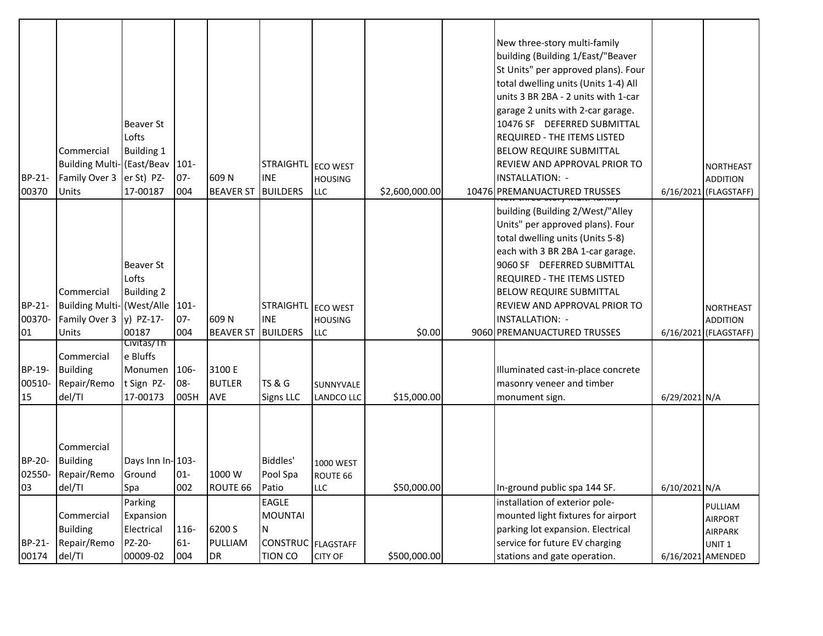| BP-21-                 | Commercial<br><b>Building Multi-</b> (East/Beav<br>Family Over 3 | Beaver St<br>Lofts<br><b>Building 1</b><br>er St) PZ-       | 101-<br>$07 -$      | 609N                                  | <b>STRAIGHTL</b><br><b>INE</b> | <b>ECO WEST</b><br><b>HOUSING</b>   |                | New three-story multi-family<br>building (Building 1/East/"Beaver<br>St Units" per approved plans). Four<br>total dwelling units (Units 1-4) All<br>units 3 BR 2BA - 2 units with 1-car<br>garage 2 units with 2-car garage.<br>10476 SF DEFERRED SUBMITTAL<br>REQUIRED - THE ITEMS LISTED<br><b>BELOW REQUIRE SUBMITTAL</b><br><b>REVIEW AND APPROVAL PRIOR TO</b><br><b>INSTALLATION: -</b> |               | <b>NORTHEAST</b><br><b>ADDITION</b>         |
|------------------------|------------------------------------------------------------------|-------------------------------------------------------------|---------------------|---------------------------------------|--------------------------------|-------------------------------------|----------------|-----------------------------------------------------------------------------------------------------------------------------------------------------------------------------------------------------------------------------------------------------------------------------------------------------------------------------------------------------------------------------------------------|---------------|---------------------------------------------|
| 00370                  | Units                                                            | 17-00187                                                    | 004                 | <b>BEAVER ST</b>                      | <b>BUILDERS</b>                | <b>LLC</b>                          | \$2,600,000.00 | 10476 PREMANUACTURED TRUSSES                                                                                                                                                                                                                                                                                                                                                                  |               | 6/16/2021 (FLAGSTAFF)                       |
|                        | Commercial                                                       | <b>Beaver St</b><br>Lofts<br><b>Building 2</b>              |                     |                                       |                                |                                     |                | building (Building 2/West/"Alley<br>Units" per approved plans). Four<br>total dwelling units (Units 5-8)<br>each with 3 BR 2BA 1-car garage.<br>9060 SF DEFERRED SUBMITTAL<br><b>REQUIRED - THE ITEMS LISTED</b><br><b>BELOW REQUIRE SUBMITTAL</b>                                                                                                                                            |               |                                             |
| BP-21-                 | <b>Building Multi- (West/Alle</b>                                |                                                             | 101-                |                                       | STRAIGHTL                      | <b>ECO WEST</b>                     |                | REVIEW AND APPROVAL PRIOR TO                                                                                                                                                                                                                                                                                                                                                                  |               | <b>NORTHEAST</b>                            |
| 00370-                 | Family Over 3                                                    | y) PZ-17-                                                   | $07 -$              | 609N                                  | <b>INE</b>                     | <b>HOUSING</b>                      |                | <b>INSTALLATION: -</b>                                                                                                                                                                                                                                                                                                                                                                        |               | <b>ADDITION</b>                             |
| 01                     | Units                                                            | 00187                                                       | 004                 | <b>BEAVER ST</b>                      | <b>BUILDERS</b>                | LLC                                 | \$0.00         | 9060 PREMANUACTURED TRUSSES                                                                                                                                                                                                                                                                                                                                                                   |               | 6/16/2021 (FLAGSTAFF)                       |
| BP-19-<br>00510-<br>15 | Commercial<br><b>Building</b><br>Repair/Remo<br>del/TI           | Civitas/Th<br>e Bluffs<br>Monumen<br>t Sign PZ-<br>17-00173 | 106-<br>08-<br>005H | 3100 E<br><b>BUTLER</b><br><b>AVE</b> | <b>TS &amp; G</b><br>Signs LLC | SUNNYVALE<br>LANDCO LLC             | \$15,000.00    | Illuminated cast-in-place concrete<br>masonry veneer and timber<br>monument sign.                                                                                                                                                                                                                                                                                                             | 6/29/2021 N/A |                                             |
| BP-20-<br>02550-<br>03 | Commercial<br><b>Building</b><br>Repair/Remo<br>del/TI           | Days Inn In- 103-<br>Ground<br>Spa                          | $01 -$<br>002       | 1000 W<br>ROUTE 66                    | Biddles'<br>Pool Spa<br>Patio  | 1000 WEST<br>ROUTE 66<br><b>LLC</b> | \$50,000.00    | In-ground public spa 144 SF.                                                                                                                                                                                                                                                                                                                                                                  | 6/10/2021 N/A |                                             |
|                        |                                                                  | Parking                                                     |                     |                                       | EAGLE                          |                                     |                | installation of exterior pole-                                                                                                                                                                                                                                                                                                                                                                |               |                                             |
|                        | Commercial<br><b>Building</b>                                    | Expansion<br>Electrical                                     | 116-                | 6200 S                                | <b>MOUNTAI</b><br>N            |                                     |                | mounted light fixtures for airport<br>parking lot expansion. Electrical                                                                                                                                                                                                                                                                                                                       |               | PULLIAM<br><b>AIRPORT</b><br><b>AIRPARK</b> |
| BP-21-                 | Repair/Remo                                                      | PZ-20-                                                      | $61-$               | PULLIAM                               | CONSTRUC FLAGSTAFF             |                                     |                | service for future EV charging                                                                                                                                                                                                                                                                                                                                                                |               | UNIT <sub>1</sub>                           |
| 00174                  | del/TI                                                           | 00009-02                                                    | 004                 | <b>DR</b>                             | <b>TION CO</b>                 | <b>CITY OF</b>                      | \$500,000.00   | stations and gate operation.                                                                                                                                                                                                                                                                                                                                                                  |               | 6/16/2021 AMENDED                           |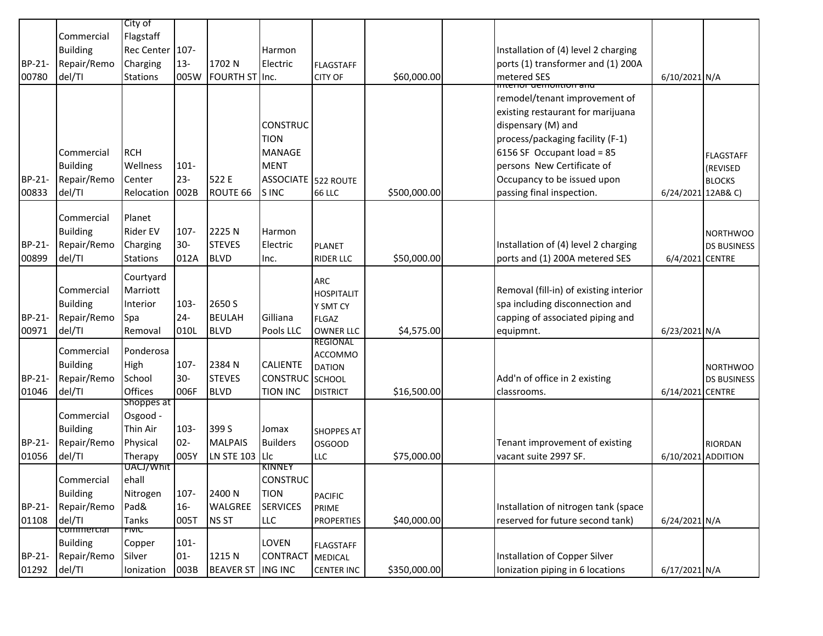|        |                 | City of                |         |                  |                            |                                    |              |                                        |                    |                    |
|--------|-----------------|------------------------|---------|------------------|----------------------------|------------------------------------|--------------|----------------------------------------|--------------------|--------------------|
|        | Commercial      | Flagstaff              |         |                  |                            |                                    |              |                                        |                    |                    |
|        | <b>Building</b> | Rec Center 107-        |         |                  | Harmon                     |                                    |              | Installation of (4) level 2 charging   |                    |                    |
| BP-21- | Repair/Remo     | Charging               | $13 -$  | 1702 N           | Electric                   | <b>FLAGSTAFF</b>                   |              | ports (1) transformer and (1) 200A     |                    |                    |
| 00780  | del/TI          | <b>Stations</b>        | 005W    | FOURTH ST Inc.   |                            | <b>CITY OF</b>                     | \$60,000.00  | metered SES                            | 6/10/2021 N/A      |                    |
|        |                 |                        |         |                  |                            |                                    |              | interior gemontion and                 |                    |                    |
|        |                 |                        |         |                  |                            |                                    |              | remodel/tenant improvement of          |                    |                    |
|        |                 |                        |         |                  |                            |                                    |              | existing restaurant for marijuana      |                    |                    |
|        |                 |                        |         |                  | <b>CONSTRUC</b>            |                                    |              | dispensary (M) and                     |                    |                    |
|        |                 |                        |         |                  | <b>TION</b>                |                                    |              | process/packaging facility (F-1)       |                    |                    |
|        | Commercial      | <b>RCH</b>             |         |                  | <b>MANAGE</b>              |                                    |              | 6156 SF Occupant load = 85             |                    | <b>FLAGSTAFF</b>   |
|        | <b>Building</b> | Wellness               | $101 -$ |                  | <b>MENT</b>                |                                    |              | persons New Certificate of             |                    | (REVISED           |
| BP-21- | Repair/Remo     | Center                 | $23 -$  | 522 E            | <b>ASSOCIATE</b> 522 ROUTE |                                    |              | Occupancy to be issued upon            |                    | <b>BLOCKS</b>      |
| 00833  | del/TI          | Relocation             | 002B    | ROUTE 66         | S INC                      | <b>66 LLC</b>                      | \$500,000.00 | passing final inspection.              | 6/24/2021 12AB& C) |                    |
|        |                 |                        |         |                  |                            |                                    |              |                                        |                    |                    |
|        | Commercial      | Planet                 |         |                  |                            |                                    |              |                                        |                    |                    |
|        | <b>Building</b> | <b>Rider EV</b>        | 107-    | 2225N            | Harmon                     |                                    |              |                                        |                    | <b>NORTHWOO</b>    |
| BP-21- | Repair/Remo     | Charging               | $30-$   | <b>STEVES</b>    | Electric                   | <b>PLANET</b>                      |              | Installation of (4) level 2 charging   |                    | <b>DS BUSINESS</b> |
| 00899  | del/TI          | <b>Stations</b>        | 012A    | <b>BLVD</b>      | Inc.                       | <b>RIDER LLC</b>                   | \$50,000.00  | ports and (1) 200A metered SES         | 6/4/2021 CENTRE    |                    |
|        |                 | Courtyard              |         |                  |                            | <b>ARC</b>                         |              |                                        |                    |                    |
|        | Commercial      | Marriott               |         |                  |                            | <b>HOSPITALIT</b>                  |              | Removal (fill-in) of existing interior |                    |                    |
|        | <b>Building</b> | Interior               | $103 -$ | 2650 S           |                            | Y SMT CY                           |              | spa including disconnection and        |                    |                    |
| BP-21- | Repair/Remo     | Spa                    | $24 -$  | <b>BEULAH</b>    | Gilliana                   | <b>FLGAZ</b>                       |              | capping of associated piping and       |                    |                    |
| 00971  | del/TI          | Removal                | 010L    | <b>BLVD</b>      | Pools LLC                  | <b>OWNER LLC</b>                   | \$4,575.00   | equipmnt.                              | 6/23/2021 N/A      |                    |
|        |                 |                        |         |                  |                            | REGIONAL                           |              |                                        |                    |                    |
|        | Commercial      | Ponderosa              |         |                  |                            | ACCOMMO                            |              |                                        |                    |                    |
|        | <b>Building</b> | High                   | 107-    | 2384 N           | <b>CALIENTE</b>            | <b>DATION</b>                      |              |                                        |                    | <b>NORTHWOO</b>    |
| BP-21- | Repair/Remo     | School                 | $30 -$  | <b>STEVES</b>    | <b>CONSTRUC</b>            | <b>SCHOOL</b>                      |              | Add'n of office in 2 existing          |                    | <b>DS BUSINESS</b> |
| 01046  | del/TI          | Offices                | 006F    | <b>BLVD</b>      | <b>TION INC</b>            | <b>DISTRICT</b>                    | \$16,500.00  | classrooms.                            | 6/14/2021 CENTRE   |                    |
|        | Commercial      | Shoppes at<br>Osgood - |         |                  |                            |                                    |              |                                        |                    |                    |
|        | <b>Building</b> | Thin Air               | $103 -$ | 399 S            | Jomax                      |                                    |              |                                        |                    |                    |
| BP-21- | Repair/Remo     | Physical               | $02 -$  | <b>MALPAIS</b>   | <b>Builders</b>            | <b>SHOPPES AT</b><br><b>OSGOOD</b> |              | Tenant improvement of existing         |                    | <b>RIORDAN</b>     |
| 01056  | del/TI          | Therapy                | 005Y    | LN STE 103       | Llc                        | <b>LLC</b>                         | \$75,000.00  | vacant suite 2997 SF.                  | 6/10/2021 ADDITION |                    |
|        |                 | UACJ/Whit              |         |                  | KINNEY                     |                                    |              |                                        |                    |                    |
|        | Commercial      | ehall                  |         |                  | <b>CONSTRUC</b>            |                                    |              |                                        |                    |                    |
|        | <b>Building</b> | Nitrogen               | 107-    | 2400N            | <b>TION</b>                | <b>PACIFIC</b>                     |              |                                        |                    |                    |
| BP-21- | Repair/Remo     | Pad&                   | $16 -$  | WALGREE          | <b>SERVICES</b>            | PRIME                              |              | Installation of nitrogen tank (space   |                    |                    |
| 01108  | del/TI          | Tanks                  | 005T    | NS ST            | <b>LLC</b>                 | <b>PROPERTIES</b>                  | \$40,000.00  | reserved for future second tank)       | 6/24/2021 N/A      |                    |
|        | commercial      | <b>FIVIC</b>           |         |                  |                            |                                    |              |                                        |                    |                    |
|        | <b>Building</b> | Copper                 | $101 -$ |                  | LOVEN                      | <b>FLAGSTAFF</b>                   |              |                                        |                    |                    |
| BP-21- | Repair/Remo     | Silver                 | $01 -$  | 1215 N           | CONTRACT                   | <b>MEDICAL</b>                     |              | Installation of Copper Silver          |                    |                    |
| 01292  | del/TI          | Ionization             | 003B    | <b>BEAVER ST</b> | <b>ING INC</b>             | <b>CENTER INC</b>                  | \$350,000.00 | Ionization piping in 6 locations       | 6/17/2021 N/A      |                    |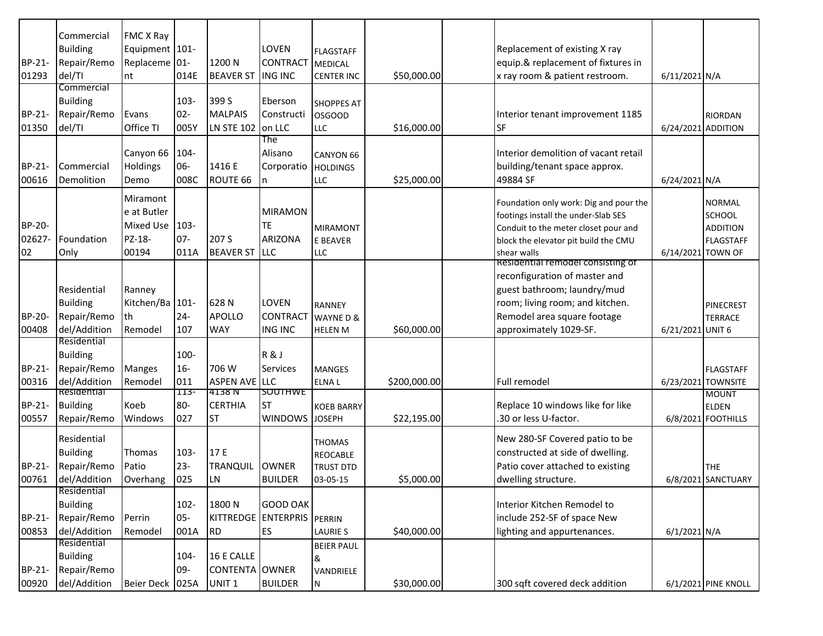| BP-21-<br>01293               | Commercial<br><b>Building</b><br>Repair/Remo<br>del/TI        | FMC X Ray<br>Equipment 101-<br>Replaceme 01-<br>nt             | 014E                      | 1200 N<br><b>BEAVER ST</b>                        | LOVEN<br><b>CONTRACT</b><br><b>ING INC</b>    | <b>FLAGSTAFF</b><br><b>MEDICAL</b><br><b>CENTER INC</b>   | \$50,000.00  | Replacement of existing X ray<br>equip.& replacement of fixtures in<br>x ray room & patient restroom.                                                                                         | 6/11/2021 N/A      |                                                                       |
|-------------------------------|---------------------------------------------------------------|----------------------------------------------------------------|---------------------------|---------------------------------------------------|-----------------------------------------------|-----------------------------------------------------------|--------------|-----------------------------------------------------------------------------------------------------------------------------------------------------------------------------------------------|--------------------|-----------------------------------------------------------------------|
| BP-21-<br>01350               | Commercial<br><b>Building</b><br>Repair/Remo<br>del/TI        | Evans<br>Office TI                                             | $103 -$<br>$02 -$<br>005Y | 399 S<br><b>MALPAIS</b><br><b>LN STE 102</b>      | Eberson<br>Constructi<br>on LLC               | <b>SHOPPES AT</b><br><b>OSGOOD</b><br><b>LLC</b>          | \$16,000.00  | Interior tenant improvement 1185<br>SF                                                                                                                                                        | 6/24/2021 ADDITION | <b>RIORDAN</b>                                                        |
| BP-21-<br>00616               | Commercial<br>Demolition                                      | Canyon 66<br><b>Holdings</b><br>Demo                           | 104-<br>06-<br>008C       | 1416 E<br>ROUTE 66                                | The<br>Alisano<br>Corporatio<br>n             | CANYON 66<br><b>HOLDINGS</b><br><b>LLC</b>                | \$25,000.00  | Interior demolition of vacant retail<br>building/tenant space approx.<br>49884 SF                                                                                                             | 6/24/2021 N/A      |                                                                       |
| <b>BP-20-</b><br>02627-<br>02 | Foundation<br>Only                                            | Miramont<br>e at Butler<br><b>Mixed Use</b><br>PZ-18-<br>00194 | $103 -$<br>$07 -$<br>011A | 207 S<br><b>BEAVER ST</b>                         | <b>MIRAMON</b><br>TE<br>ARIZONA<br><b>LLC</b> | <b>MIRAMONT</b><br>E BEAVER<br><b>LLC</b>                 |              | Foundation only work: Dig and pour the<br>footings install the under-Slab SES<br>Conduit to the meter closet pour and<br>block the elevator pit build the CMU<br>shear walls                  | 6/14/2021 TOWN OF  | <b>NORMAL</b><br><b>SCHOOL</b><br><b>ADDITION</b><br><b>FLAGSTAFF</b> |
| BP-20-<br>00408               | Residential<br><b>Building</b><br>Repair/Remo<br>del/Addition | Ranney<br>Kitchen/Ba 101-<br>lth<br>Remodel                    | $24 -$<br>107             | 628N<br><b>APOLLO</b><br><b>WAY</b>               | LOVEN<br><b>CONTRACT</b><br><b>ING INC</b>    | <b>RANNEY</b><br>WAYNE D &<br><b>HELEN M</b>              | \$60,000.00  | Residential remodel consisting of<br>reconfiguration of master and<br>guest bathroom; laundry/mud<br>room; living room; and kitchen.<br>Remodel area square footage<br>approximately 1029-SF. | 6/21/2021 UNIT 6   | PINECREST<br>TERRACE                                                  |
| <b>BP-21-</b><br>00316        | Residential<br><b>Building</b><br>Repair/Remo<br>del/Addition | <b>Manges</b><br>Remodel                                       | 100-<br>$16 -$<br>011     | 706 W<br><b>ASPEN AVE</b>                         | R&J<br>Services<br><b>LLC</b>                 | <b>MANGES</b><br><b>ELNAL</b>                             | \$200,000.00 | Full remodel                                                                                                                                                                                  |                    | <b>FLAGSTAFF</b><br>6/23/2021 TOWNSITE                                |
| <b>BP-21-</b><br>00557        | Residential<br><b>Building</b><br>Repair/Remo                 | Koeb<br>Windows                                                | 113-<br>80-<br>027        | 4138 N<br><b>CERTHIA</b><br>ST                    | <b>SUUTHWE</b><br><b>ST</b><br><b>WINDOWS</b> | <b>KOEB BARRY</b><br><b>JOSEPH</b>                        | \$22,195.00  | Replace 10 windows like for like<br>30 or less U-factor.                                                                                                                                      |                    | <b>MOUNT</b><br><b>ELDEN</b><br>6/8/2021 FOOTHILLS                    |
| BP-21-<br>00761               | Residential<br><b>Building</b><br>Repair/Remo<br>del/Addition | Thomas<br>Patio<br>Overhang                                    | $103 -$<br>$23 -$<br>025  | 17 E<br>TRANQUIL<br>LN                            | <b>OWNER</b><br><b>BUILDER</b>                | <b>THOMAS</b><br>REOCABLE<br><b>TRUST DTD</b><br>03-05-15 | \$5,000.00   | New 280-SF Covered patio to be<br>constructed at side of dwelling.<br>Patio cover attached to existing<br>dwelling structure.                                                                 |                    | <b>THE</b><br>6/8/2021 SANCTUARY                                      |
| <b>BP-21-</b><br>00853        | Residential<br><b>Building</b><br>Repair/Remo<br>del/Addition | Perrin<br>Remodel                                              | 102-<br>$05 -$<br>001A    | 1800N<br>KITTREDGE<br><b>RD</b>                   | <b>GOOD OAK</b><br><b>ENTERPRIS</b><br>ES     | PERRIN<br><b>LAURIE S</b>                                 | \$40,000.00  | Interior Kitchen Remodel to<br>include 252-SF of space New<br>lighting and appurtenances.                                                                                                     | $6/1/2021$ N/A     |                                                                       |
| BP-21-<br>00920               | Residential<br><b>Building</b><br>Repair/Remo<br>del/Addition | Beier Deck 025A                                                | 104-<br>$09 -$            | 16 E CALLE<br>CONTENTA OWNER<br>UNIT <sub>1</sub> | <b>BUILDER</b>                                | <b>BEIER PAUL</b><br>&<br>VANDRIELE<br>${\sf N}$          | \$30,000.00  | 300 sqft covered deck addition                                                                                                                                                                |                    | 6/1/2021 PINE KNOLL                                                   |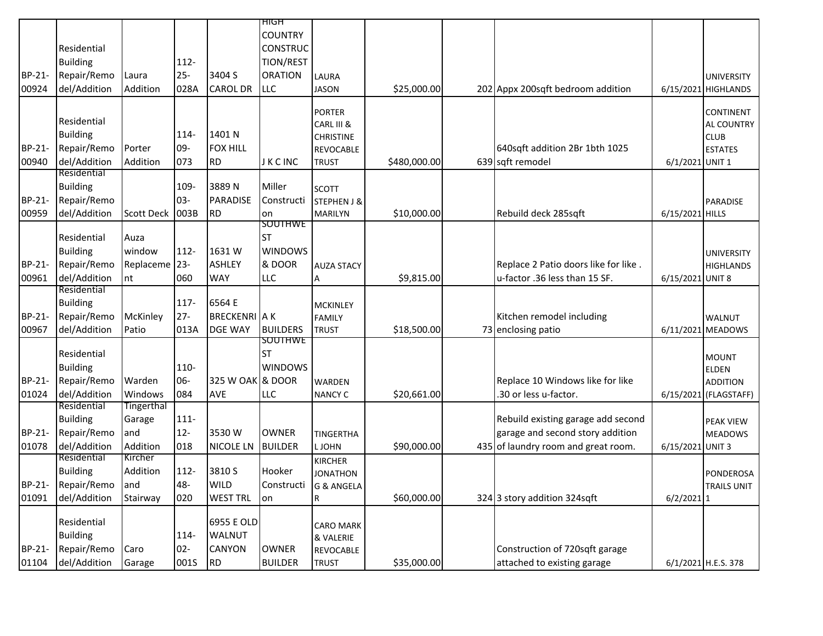|        |                        |                   |        |                      | ਸਾਰਸ                  |                               |              |                                      |                  |                               |
|--------|------------------------|-------------------|--------|----------------------|-----------------------|-------------------------------|--------------|--------------------------------------|------------------|-------------------------------|
|        |                        |                   |        |                      | <b>COUNTRY</b>        |                               |              |                                      |                  |                               |
|        | Residential            |                   |        |                      | <b>CONSTRUC</b>       |                               |              |                                      |                  |                               |
|        | <b>Building</b>        |                   | 112-   |                      | TION/REST             |                               |              |                                      |                  |                               |
| BP-21- | Repair/Remo            | Laura             | $25 -$ | 3404 S               | <b>ORATION</b>        | LAURA                         |              |                                      |                  | <b>UNIVERSITY</b>             |
| 00924  | del/Addition           | Addition          | 028A   | <b>CAROL DR</b>      | <b>LLC</b>            | <b>JASON</b>                  | \$25,000.00  | 202 Appx 200sqft bedroom addition    |                  | 6/15/2021 HIGHLANDS           |
|        |                        |                   |        |                      |                       |                               |              |                                      |                  |                               |
|        | Residential            |                   |        |                      |                       | <b>PORTER</b>                 |              |                                      |                  | CONTINENT                     |
|        | <b>Building</b>        |                   | 114-   | 1401 N               |                       | CARL III &                    |              |                                      |                  | AL COUNTRY                    |
| BP-21- | Repair/Remo            | Porter            | 09-    | <b>FOX HILL</b>      |                       | <b>CHRISTINE</b><br>REVOCABLE |              | 640sqft addition 2Br 1bth 1025       |                  | <b>CLUB</b><br><b>ESTATES</b> |
| 00940  | del/Addition           | Addition          | 073    | <b>RD</b>            | J K C INC             | <b>TRUST</b>                  | \$480,000.00 | 639 sqft remodel                     | 6/1/2021 UNIT 1  |                               |
|        | Residential            |                   |        |                      |                       |                               |              |                                      |                  |                               |
|        | <b>Building</b>        |                   | 109-   | 3889N                | Miller                | <b>SCOTT</b>                  |              |                                      |                  |                               |
| BP-21- | Repair/Remo            |                   | $03 -$ | PARADISE             | Constructi            | <b>STEPHEN J &amp;</b>        |              |                                      |                  | PARADISE                      |
| 00959  | del/Addition           | Scott Deck   003B |        | <b>RD</b>            | on                    | <b>MARILYN</b>                | \$10,000.00  | Rebuild deck 285sqft                 | 6/15/2021 HILLS  |                               |
|        |                        |                   |        |                      | SOUTHWE               |                               |              |                                      |                  |                               |
|        | Residential            | Auza              |        |                      | <b>ST</b>             |                               |              |                                      |                  |                               |
|        | <b>Building</b>        | window            | 112-   | 1631W                | <b>WINDOWS</b>        |                               |              |                                      |                  | <b>UNIVERSITY</b>             |
| BP-21- | Repair/Remo            | Replaceme 23-     |        | <b>ASHLEY</b>        | & DOOR                | <b>AUZA STACY</b>             |              | Replace 2 Patio doors like for like. |                  | <b>HIGHLANDS</b>              |
| 00961  | del/Addition           | nt                | 060    | <b>WAY</b>           | <b>LLC</b>            | А                             | \$9,815.00   | u-factor .36 less than 15 SF.        | 6/15/2021 UNIT 8 |                               |
|        | Residential            |                   |        |                      |                       |                               |              |                                      |                  |                               |
|        | <b>Building</b>        |                   | 117-   | 6564 E               |                       | <b>MCKINLEY</b>               |              |                                      |                  |                               |
| BP-21- | Repair/Remo            | McKinley          | $27 -$ | <b>BRECKENRI A K</b> |                       | <b>FAMILY</b>                 |              | Kitchen remodel including            |                  | <b>WALNUT</b>                 |
| 00967  | del/Addition           | Patio             | 013A   | DGE WAY              | <b>BUILDERS</b>       | <b>TRUST</b>                  | \$18,500.00  | 73 enclosing patio                   |                  | 6/11/2021 MEADOWS             |
|        |                        |                   |        |                      | SOUTHWE               |                               |              |                                      |                  |                               |
|        | Residential            |                   |        |                      | <b>ST</b>             |                               |              |                                      |                  | <b>MOUNT</b>                  |
|        | <b>Building</b>        |                   | 110-   |                      | <b>WINDOWS</b>        |                               |              |                                      |                  | <b>ELDEN</b>                  |
| BP-21- | Repair/Remo            | Warden            | 06-    | 325 W OAK & DOOR     |                       | WARDEN                        |              | Replace 10 Windows like for like     |                  | <b>ADDITION</b>               |
| 01024  | del/Addition           | Windows           | 084    | AVE                  | LLC                   | <b>NANCY C</b>                | \$20,661.00  | 30 or less u-factor.                 |                  | 6/15/2021 (FLAGSTAFF)         |
|        | Residential            | <b>Tingerthal</b> |        |                      |                       |                               |              |                                      |                  |                               |
|        | <b>Building</b>        | Garage            | 111-   |                      |                       |                               |              | Rebuild existing garage add second   |                  | <b>PEAK VIEW</b>              |
| BP-21- | Repair/Remo            | and               | $12 -$ | 3530W                | <b>OWNER</b>          | <b>TINGERTHA</b>              |              | garage and second story addition     |                  | <b>MEADOWS</b>                |
| 01078  | del/Addition           | Addition          | 018    | NICOLE LN            | <b>BUILDER</b>        | L JOHN                        | \$90,000.00  | 435 of laundry room and great room.  | 6/15/2021 UNIT 3 |                               |
|        | Residential            | Kircher           |        |                      |                       | <b>KIRCHER</b>                |              |                                      |                  |                               |
|        | <b>Building</b>        | Addition          | 112-   | 3810 S               | Hooker                | <b>JONATHON</b>               |              |                                      |                  | <b>PONDEROSA</b>              |
|        | BP-21- Repair/Remo and |                   | 48-    | <b>WILD</b>          | Constructi G & ANGELA |                               |              |                                      |                  | TRAILS UNIT                   |
| 01091  | del/Addition           | Stairway          | 020    | <b>WEST TRL</b>      | on                    | R                             | \$60,000.00  | 324 3 story addition 324sqft         | $6/2/2021$ 1     |                               |
|        | Residential            |                   |        | 6955 E OLD           |                       |                               |              |                                      |                  |                               |
|        |                        |                   |        | WALNUT               |                       | <b>CARO MARK</b>              |              |                                      |                  |                               |
|        | <b>Building</b>        |                   | 114-   |                      |                       | & VALERIE                     |              |                                      |                  |                               |
| BP-21- | Repair/Remo            | Caro              | $02 -$ | CANYON               | OWNER                 | REVOCABLE                     |              | Construction of 720sqft garage       |                  |                               |
| 01104  | del/Addition           | Garage            | 001S   | <b>RD</b>            | <b>BUILDER</b>        | <b>TRUST</b>                  | \$35,000.00  | attached to existing garage          |                  | 6/1/2021 H.E.S. 378           |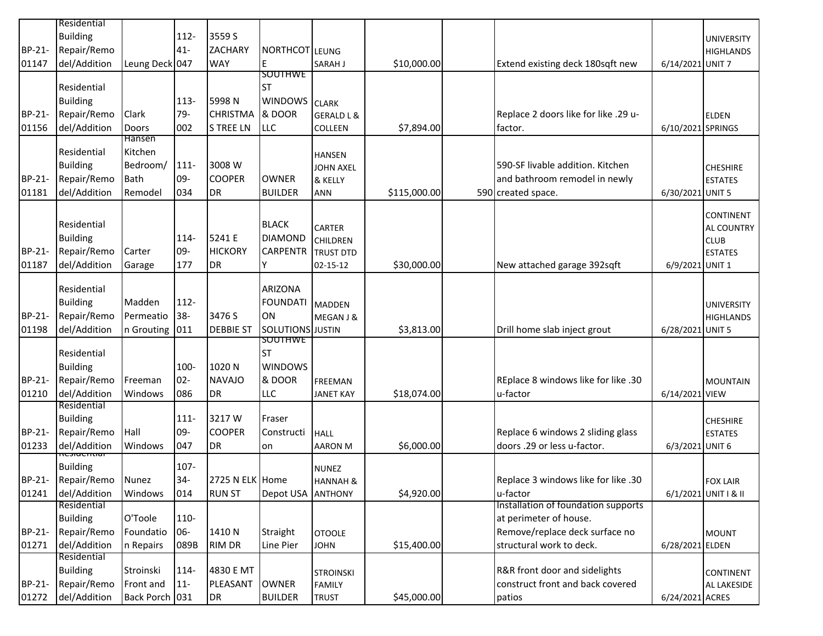|        | Residential                    |                |         |                  |                         |                       |              |                                      |                   |                      |
|--------|--------------------------------|----------------|---------|------------------|-------------------------|-----------------------|--------------|--------------------------------------|-------------------|----------------------|
|        | <b>Building</b>                |                | $112 -$ | 3559 S           |                         |                       |              |                                      |                   | <b>UNIVERSITY</b>    |
| BP-21- | Repair/Remo                    |                | $41 -$  | <b>ZACHARY</b>   | NORTHCOT LEUNG          |                       |              |                                      |                   | <b>HIGHLANDS</b>     |
| 01147  | del/Addition                   | Leung Deck 047 |         | <b>WAY</b>       | E                       | SARAH J               | \$10,000.00  | Extend existing deck 180sqft new     | 6/14/2021 UNIT 7  |                      |
|        |                                |                |         |                  | <b>SOUTHWE</b>          |                       |              |                                      |                   |                      |
|        | Residential                    |                |         |                  | <b>ST</b>               |                       |              |                                      |                   |                      |
|        | <b>Building</b>                |                | $113 -$ | 5998N            | <b>WINDOWS</b>          |                       |              |                                      |                   |                      |
|        |                                |                |         |                  |                         | <b>CLARK</b>          |              |                                      |                   |                      |
| BP-21- | Repair/Remo                    | Clark          | 79-     | <b>CHRISTMA</b>  | & DOOR                  | <b>GERALD L &amp;</b> |              | Replace 2 doors like for like .29 u- |                   | <b>ELDEN</b>         |
| 01156  | del/Addition                   | Doors          | 002     | <b>S TREE LN</b> | LLC                     | COLLEEN               | \$7,894.00   | factor.                              | 6/10/2021 SPRINGS |                      |
|        |                                | Hansen         |         |                  |                         |                       |              |                                      |                   |                      |
|        | Residential                    | Kitchen        |         |                  |                         | <b>HANSEN</b>         |              |                                      |                   |                      |
|        | <b>Building</b>                | Bedroom/       | $111 -$ | 3008 W           |                         | <b>JOHN AXEL</b>      |              | 590-SF livable addition. Kitchen     |                   | <b>CHESHIRE</b>      |
| BP-21- | Repair/Remo                    | Bath           | 09-     | <b>COOPER</b>    | <b>OWNER</b>            | & KELLY               |              | and bathroom remodel in newly        |                   | <b>ESTATES</b>       |
| 01181  | del/Addition                   | Remodel        | 034     | DR               | <b>BUILDER</b>          | <b>ANN</b>            | \$115,000.00 | 590 created space.                   | 6/30/2021 UNIT 5  |                      |
|        |                                |                |         |                  |                         |                       |              |                                      |                   |                      |
|        | Residential                    |                |         |                  | <b>BLACK</b>            |                       |              |                                      |                   | <b>CONTINENT</b>     |
|        | <b>Building</b>                |                | 114-    | 5241 E           | <b>DIAMOND</b>          | <b>CARTER</b>         |              |                                      |                   | <b>AL COUNTRY</b>    |
|        |                                |                |         | <b>HICKORY</b>   |                         | <b>CHILDREN</b>       |              |                                      |                   | <b>CLUB</b>          |
| BP-21- | Repair/Remo                    | Carter         | 09-     |                  | <b>CARPENTR</b>         | <b>TRUST DTD</b>      |              |                                      |                   | <b>ESTATES</b>       |
| 01187  | del/Addition                   | Garage         | 177     | <b>DR</b>        | Y                       | 02-15-12              | \$30,000.00  | New attached garage 392sqft          | 6/9/2021 UNIT 1   |                      |
|        | Residential                    |                |         |                  | <b>ARIZONA</b>          |                       |              |                                      |                   |                      |
|        |                                |                |         |                  |                         |                       |              |                                      |                   |                      |
|        | <b>Building</b>                | Madden         | $112 -$ |                  | <b>FOUNDATI</b>         | <b>MADDEN</b>         |              |                                      |                   | <b>UNIVERSITY</b>    |
| BP-21- | Repair/Remo                    | Permeatio      | $38 -$  | 3476 S           | ON                      | MEGAN J &             |              |                                      |                   | <b>HIGHLANDS</b>     |
| 01198  | del/Addition                   | n Grouting 011 |         | <b>DEBBIE ST</b> | <b>SOLUTIONS</b> JUSTIN |                       | \$3,813.00   | Drill home slab inject grout         | 6/28/2021 UNIT 5  |                      |
|        |                                |                |         |                  | SOUTHWE                 |                       |              |                                      |                   |                      |
|        | Residential                    |                |         |                  | <b>ST</b>               |                       |              |                                      |                   |                      |
|        | <b>Building</b>                |                | 100-    | 1020N            | <b>WINDOWS</b>          |                       |              |                                      |                   |                      |
| BP-21- | Repair/Remo                    | Freeman        | $02 -$  | <b>NAVAJO</b>    | & DOOR                  | <b>FREEMAN</b>        |              | REplace 8 windows like for like .30  |                   | <b>MOUNTAIN</b>      |
| 01210  | del/Addition                   | Windows        | 086     | DR               | LLC                     | <b>JANET KAY</b>      | \$18,074.00  | u-factor                             | 6/14/2021 VIEW    |                      |
|        | Residential                    |                |         |                  |                         |                       |              |                                      |                   |                      |
|        | <b>Building</b>                |                | $111 -$ | 3217W            | Fraser                  |                       |              |                                      |                   | <b>CHESHIRE</b>      |
| BP-21- | Repair/Remo                    | Hall           | 09-     | <b>COOPER</b>    | Constructi              | <b>HALL</b>           |              | Replace 6 windows 2 sliding glass    |                   | <b>ESTATES</b>       |
| 01233  | del/Addition                   | Windows        | 047     | <b>DR</b>        | on                      | <b>AARON M</b>        | \$6,000.00   | doors .29 or less u-factor.          | 6/3/2021 UNIT 6   |                      |
|        | ncaractruar<br><b>Building</b> |                | 107-    |                  |                         |                       |              |                                      |                   |                      |
|        |                                |                |         |                  |                         | <b>NUNEZ</b>          |              |                                      |                   |                      |
|        | BP-21- Repair/Remo Nunez       |                | $34-$   | 2725 N ELK Home  |                         | <b>HANNAH &amp;</b>   |              | Replace 3 windows like for like .30  |                   | <b>FOX LAIR</b>      |
| 01241  | del/Addition<br>Residential    | Windows        | 014     | <b>RUN ST</b>    | Depot USA ANTHONY       |                       | \$4,920.00   | u-factor                             |                   | 6/1/2021 UNIT   & II |
|        |                                |                |         |                  |                         |                       |              | Installation of foundation supports  |                   |                      |
|        | <b>Building</b>                | O'Toole        | 110-    |                  |                         |                       |              | at perimeter of house.               |                   |                      |
| BP-21- | Repair/Remo                    | Foundatio      | 06-     | 1410N            | Straight                | <b>OTOOLE</b>         |              | Remove/replace deck surface no       |                   | <b>MOUNT</b>         |
| 01271  | del/Addition                   | n Repairs      | 089B    | <b>RIM DR</b>    | Line Pier               | <b>JOHN</b>           | \$15,400.00  | structural work to deck.             | 6/28/2021 ELDEN   |                      |
|        | Residential                    |                |         |                  |                         |                       |              |                                      |                   |                      |
|        | <b>Building</b>                | Stroinski      | 114-    | 4830 E MT        |                         | <b>STROINSKI</b>      |              | R&R front door and sidelights        |                   | CONTINENT            |
| BP-21- | Repair/Remo                    | Front and      | $11 -$  | PLEASANT         | <b>OWNER</b>            | <b>FAMILY</b>         |              | construct front and back covered     |                   | AL LAKESIDE          |
| 01272  | del/Addition                   | Back Porch 031 |         | DR               | <b>BUILDER</b>          | <b>TRUST</b>          | \$45,000.00  | patios                               | 6/24/2021 ACRES   |                      |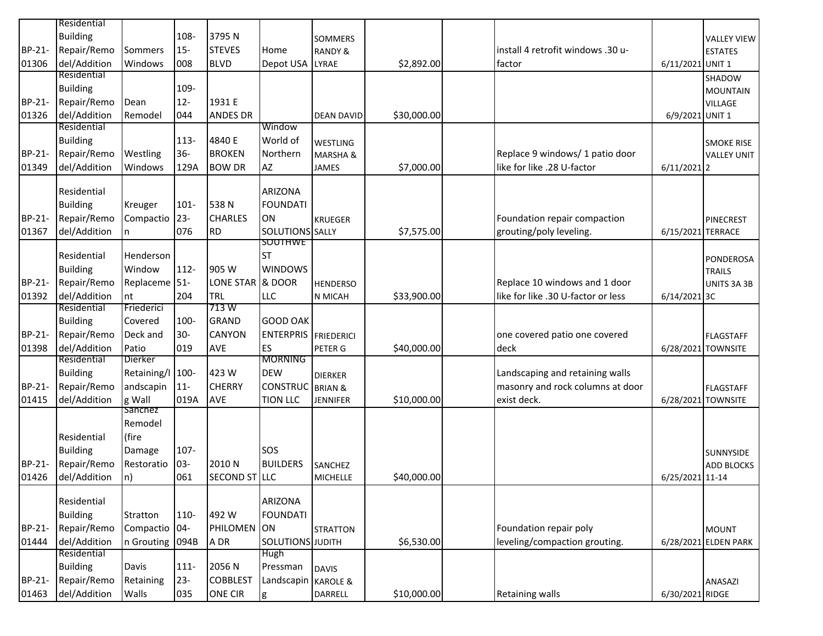|        | Residential     |                          |         |                  |                        |                     |             |                                    |                   |                      |
|--------|-----------------|--------------------------|---------|------------------|------------------------|---------------------|-------------|------------------------------------|-------------------|----------------------|
|        | <b>Building</b> |                          | 108-    | 3795N            |                        | <b>SOMMERS</b>      |             |                                    |                   | <b>VALLEY VIEW</b>   |
| BP-21- | Repair/Remo     | Sommers                  | $15-$   | <b>STEVES</b>    | Home                   | <b>RANDY &amp;</b>  |             | install 4 retrofit windows .30 u-  |                   | <b>ESTATES</b>       |
| 01306  | del/Addition    | Windows                  | 008     | <b>BLVD</b>      | Depot USA              | <b>LYRAE</b>        | \$2,892.00  | factor                             | 6/11/2021 UNIT 1  |                      |
|        | Residential     |                          |         |                  |                        |                     |             |                                    |                   | SHADOW               |
|        | <b>Building</b> |                          | 109-    |                  |                        |                     |             |                                    |                   | <b>MOUNTAIN</b>      |
| BP-21- | Repair/Remo     | Dean                     | $12-$   | 1931 E           |                        |                     |             |                                    |                   | <b>VILLAGE</b>       |
| 01326  | del/Addition    | Remodel                  | 044     | <b>ANDES DR</b>  |                        | <b>DEAN DAVID</b>   | \$30,000.00 |                                    | 6/9/2021 UNIT 1   |                      |
|        | Residential     |                          |         |                  | Window                 |                     |             |                                    |                   |                      |
|        | <b>Building</b> |                          | $113 -$ | 4840 E           | World of               | WESTLING            |             |                                    |                   | <b>SMOKE RISE</b>    |
| BP-21- | Repair/Remo     | Westling                 | $36 -$  | <b>BROKEN</b>    | Northern               | <b>MARSHA &amp;</b> |             | Replace 9 windows/ 1 patio door    |                   | <b>VALLEY UNIT</b>   |
| 01349  | del/Addition    | Windows                  | 129A    | <b>BOW DR</b>    | AZ                     | JAMES               | \$7,000.00  | like for like .28 U-factor         | $6/11/2021$ 2     |                      |
|        |                 |                          |         |                  |                        |                     |             |                                    |                   |                      |
|        | Residential     |                          |         |                  | <b>ARIZONA</b>         |                     |             |                                    |                   |                      |
|        | <b>Building</b> | Kreuger                  | $101 -$ | 538N             | <b>FOUNDATI</b>        |                     |             |                                    |                   |                      |
| BP-21- | Repair/Remo     | Compactio 23-            |         | <b>CHARLES</b>   | ON                     | <b>KRUEGER</b>      |             | Foundation repair compaction       |                   | <b>PINECREST</b>     |
| 01367  | del/Addition    | n.                       | 076     | <b>RD</b>        | <b>SOLUTIONS</b> SALLY |                     | \$7,575.00  | grouting/poly leveling.            | 6/15/2021 TERRACE |                      |
|        |                 |                          |         |                  | SOUTHWE                |                     |             |                                    |                   |                      |
|        | Residential     | Henderson                |         |                  | <b>ST</b>              |                     |             |                                    |                   | PONDEROSA            |
|        | <b>Building</b> | Window                   | $112 -$ | 905 W            | <b>WINDOWS</b>         |                     |             |                                    |                   | <b>TRAILS</b>        |
| BP-21- | Repair/Remo     | Replaceme <sup>51-</sup> |         | <b>LONE STAR</b> | & DOOR                 | <b>HENDERSO</b>     |             | Replace 10 windows and 1 door      |                   | UNITS 3A 3B          |
| 01392  | del/Addition    | nt                       | 204     | <b>TRL</b>       | LLC                    | N MICAH             | \$33,900.00 | like for like .30 U-factor or less | 6/14/2021 3C      |                      |
|        | Residential     | Friederici               |         | 713 W            |                        |                     |             |                                    |                   |                      |
|        | <b>Building</b> | Covered                  | 100-    | <b>GRAND</b>     | <b>GOOD OAK</b>        |                     |             |                                    |                   |                      |
| BP-21- | Repair/Remo     | Deck and                 | $30-$   | <b>CANYON</b>    | <b>ENTERPRIS</b>       | <b>FRIEDERICI</b>   |             | one covered patio one covered      |                   | <b>FLAGSTAFF</b>     |
| 01398  | del/Addition    | Patio                    | 019     | AVE              | ES                     | PETER G             | \$40,000.00 | deck                               |                   | 6/28/2021 TOWNSITE   |
|        | Residential     | Dierker                  |         |                  | <b>MORNING</b>         |                     |             |                                    |                   |                      |
|        | <b>Building</b> | Retaining/l 100-         |         | 423W             | <b>DEW</b>             | <b>DIERKER</b>      |             | Landscaping and retaining walls    |                   |                      |
| BP-21- | Repair/Remo     | andscapin                | $11 -$  | <b>CHERRY</b>    | <b>CONSTRUC</b>        | <b>BRIAN &amp;</b>  |             | masonry and rock columns at door   |                   | <b>FLAGSTAFF</b>     |
| 01415  | del/Addition    | g Wall                   | 019A    | AVE              | <b>TION LLC</b>        | <b>JENNIFER</b>     | \$10,000.00 | exist deck.                        |                   | 6/28/2021 TOWNSITE   |
|        |                 | Sanchez                  |         |                  |                        |                     |             |                                    |                   |                      |
|        |                 | Remodel                  |         |                  |                        |                     |             |                                    |                   |                      |
|        | Residential     | (fire                    |         |                  |                        |                     |             |                                    |                   |                      |
|        | <b>Building</b> | Damage                   | 107-    |                  | SOS                    |                     |             |                                    |                   | SUNNYSIDE            |
| BP-21- | Repair/Remo     | Restoratio               | $03 -$  | 2010 N           | <b>BUILDERS</b>        | <b>SANCHEZ</b>      |             |                                    |                   | <b>ADD BLOCKS</b>    |
| 01426  | del/Addition    | n)                       | 061     | SECOND ST LLC    |                        | <b>MICHELLE</b>     | \$40,000.00 |                                    | 6/25/2021 11-14   |                      |
|        |                 |                          |         |                  |                        |                     |             |                                    |                   |                      |
|        | Residential     |                          |         |                  | <b>ARIZONA</b>         |                     |             |                                    |                   |                      |
|        | <b>Building</b> | Stratton                 | 110-    | 492W             | <b>FOUNDATI</b>        |                     |             |                                    |                   |                      |
| BP-21- | Repair/Remo     | Compactio 04-            |         | PHILOMEN ON      |                        | <b>STRATTON</b>     |             | Foundation repair poly             |                   | <b>MOUNT</b>         |
| 01444  | del/Addition    | n Grouting 094B          |         | A DR             | SOLUTIONS JUDITH       |                     | \$6,530.00  | leveling/compaction grouting.      |                   | 6/28/2021 ELDEN PARK |
|        | Residential     |                          |         |                  | Hugh                   |                     |             |                                    |                   |                      |
|        | <b>Building</b> | Davis                    | $111 -$ | 2056 N           | Pressman               | <b>DAVIS</b>        |             |                                    |                   |                      |
| BP-21- | Repair/Remo     | Retaining                | $23 -$  | <b>COBBLEST</b>  | Landscapin KAROLE &    |                     |             |                                    |                   | ANASAZI              |
| 01463  | del/Addition    | Walls                    | 035     | <b>ONE CIR</b>   | g                      | DARRELL             | \$10,000.00 | <b>Retaining walls</b>             | 6/30/2021 RIDGE   |                      |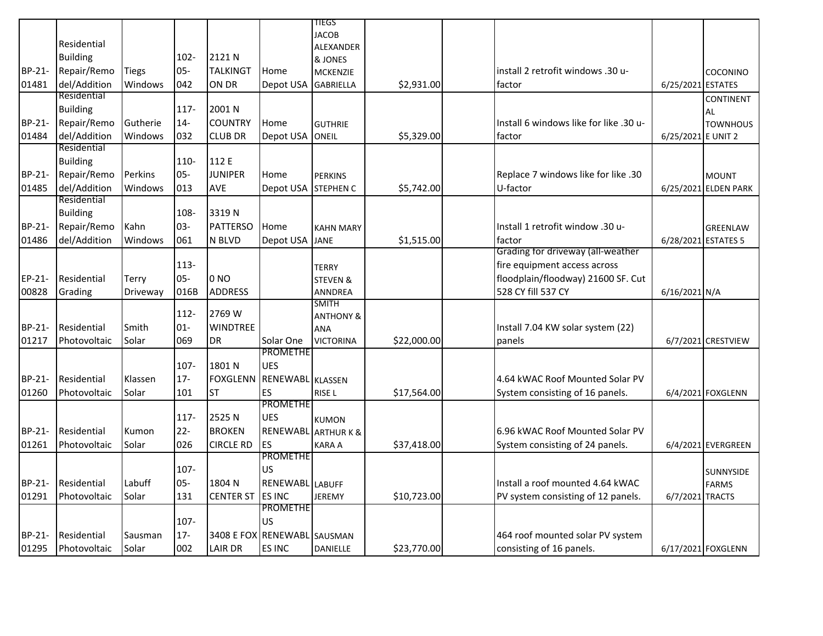|        |                 |              |         |                  |                             | TIEGS                |             |                                        |                    |                      |
|--------|-----------------|--------------|---------|------------------|-----------------------------|----------------------|-------------|----------------------------------------|--------------------|----------------------|
|        |                 |              |         |                  |                             | <b>JACOB</b>         |             |                                        |                    |                      |
|        | Residential     |              |         |                  |                             | ALEXANDER            |             |                                        |                    |                      |
|        | <b>Building</b> |              | $102 -$ | 2121N            |                             | & JONES              |             |                                        |                    |                      |
| BP-21- | Repair/Remo     | <b>Tiegs</b> | $05-$   | <b>TALKINGT</b>  | Home                        | <b>MCKENZIE</b>      |             | install 2 retrofit windows .30 u-      |                    | <b>COCONINO</b>      |
| 01481  | del/Addition    | Windows      | 042     | on dr            | Depot USA                   | <b>GABRIELLA</b>     | \$2,931.00  | factor                                 | 6/25/2021 ESTATES  |                      |
|        | Residential     |              |         |                  |                             |                      |             |                                        |                    | CONTINENT            |
|        | <b>Building</b> |              | $117 -$ | 2001 N           |                             |                      |             |                                        |                    | AL                   |
| BP-21- | Repair/Remo     | Gutherie     | $14-$   | <b>COUNTRY</b>   | Home                        | <b>GUTHRIE</b>       |             | Install 6 windows like for like .30 u- |                    | <b>TOWNHOUS</b>      |
| 01484  | del/Addition    | Windows      | 032     | <b>CLUB DR</b>   | Depot USA                   | ONEIL                | \$5,329.00  | factor                                 | 6/25/2021 E UNIT 2 |                      |
|        | Residential     |              |         |                  |                             |                      |             |                                        |                    |                      |
|        | <b>Building</b> |              | 110-    | 112 E            |                             |                      |             |                                        |                    |                      |
| BP-21- | Repair/Remo     | Perkins      | $05 -$  | <b>JUNIPER</b>   | Home                        | <b>PERKINS</b>       |             | Replace 7 windows like for like .30    |                    | <b>MOUNT</b>         |
| 01485  | del/Addition    | Windows      | 013     | <b>AVE</b>       | Depot USA                   | STEPHEN C            | \$5,742.00  | U-factor                               |                    | 6/25/2021 ELDEN PARK |
|        | Residential     |              |         |                  |                             |                      |             |                                        |                    |                      |
|        | <b>Building</b> |              | 108-    | 3319N            |                             |                      |             |                                        |                    |                      |
| BP-21- | Repair/Remo     | Kahn         | 03-     | <b>PATTERSO</b>  | Home                        | <b>KAHN MARY</b>     |             | Install 1 retrofit window .30 u-       |                    | <b>GREENLAW</b>      |
| 01486  | del/Addition    | Windows      | 061     | N BLVD           | Depot USA                   | <b>JANE</b>          | \$1,515.00  | factor                                 |                    | 6/28/2021 ESTATES 5  |
|        |                 |              |         |                  |                             |                      |             | Grading for driveway (all-weather      |                    |                      |
|        |                 |              | 113-    |                  |                             | <b>TERRY</b>         |             | fire equipment access across           |                    |                      |
| EP-21- | Residential     | Terry        | $05 -$  | 0 <sub>NO</sub>  |                             | <b>STEVEN &amp;</b>  |             | floodplain/floodway) 21600 SF. Cut     |                    |                      |
| 00828  | Grading         | Driveway     | 016B    | <b>ADDRESS</b>   |                             | <b>ANNDREA</b>       |             | 528 CY fill 537 CY                     | 6/16/2021 N/A      |                      |
|        |                 |              |         |                  |                             | <b>SMITH</b>         |             |                                        |                    |                      |
|        |                 |              | $112 -$ | 2769 W           |                             | <b>ANTHONY &amp;</b> |             |                                        |                    |                      |
| BP-21- | Residential     | Smith        | $01 -$  | <b>WINDTREE</b>  |                             | <b>ANA</b>           |             | Install 7.04 KW solar system (22)      |                    |                      |
| 01217  | Photovoltaic    | Solar        | 069     | DR               | Solar One                   | <b>VICTORINA</b>     | \$22,000.00 | panels                                 |                    | 6/7/2021 CRESTVIEW   |
|        |                 |              |         |                  | <b>PROMETHE</b>             |                      |             |                                        |                    |                      |
|        |                 |              | 107-    | 1801 N           | <b>UES</b>                  |                      |             |                                        |                    |                      |
| BP-21- | Residential     | Klassen      | $17 -$  | <b>FOXGLENN</b>  | <b>RENEWABL KLASSEN</b>     |                      |             | 4.64 kWAC Roof Mounted Solar PV        |                    |                      |
| 01260  | Photovoltaic    | Solar        | 101     | <b>ST</b>        | ES                          | RISE <sub>L</sub>    | \$17,564.00 | System consisting of 16 panels.        |                    | 6/4/2021 FOXGLENN    |
|        |                 |              |         |                  | <b>PROMETHE</b>             |                      |             |                                        |                    |                      |
|        |                 |              | $117 -$ | 2525N            | <b>UES</b>                  | <b>KUMON</b>         |             |                                        |                    |                      |
| BP-21- | Residential     | Kumon        | $22 -$  | <b>BROKEN</b>    | RENEWABL                    | <b>ARTHURK&amp;</b>  |             | 6.96 kWAC Roof Mounted Solar PV        |                    |                      |
| 01261  | Photovoltaic    | Solar        | 026     | CIRCLE RD        | <b>ES</b>                   | KARA A               | \$37,418.00 | System consisting of 24 panels.        |                    | 6/4/2021 EVERGREEN   |
|        |                 |              |         |                  | <b>PROMETHE</b>             |                      |             |                                        |                    |                      |
|        |                 |              | 107-    |                  | US                          |                      |             |                                        |                    | <b>SUNNYSIDE</b>     |
| BP-21- | Residential     | Labuff       | $05-$   | 1804 N           | RENEWABL LABUFF             |                      |             | Install a roof mounted 4.64 kWAC       |                    | <b>FARMS</b>         |
| 01291  | Photovoltaic    | Solar        | 131     | <b>CENTER ST</b> | <b>ES INC</b>               | <b>JEREMY</b>        | \$10,723.00 | PV system consisting of 12 panels.     | 6/7/2021 TRACTS    |                      |
|        |                 |              |         |                  | <b>PROMETHE</b>             |                      |             |                                        |                    |                      |
|        |                 |              | 107-    |                  | <b>US</b>                   |                      |             |                                        |                    |                      |
| BP-21- | Residential     | Sausman      | $17 -$  |                  | 3408 E FOX RENEWABL SAUSMAN |                      |             | 464 roof mounted solar PV system       |                    |                      |
| 01295  | Photovoltaic    | Solar        | 002     | <b>LAIR DR</b>   | <b>ES INC</b>               | DANIELLE             | \$23,770.00 | consisting of 16 panels.               |                    | 6/17/2021 FOXGLENN   |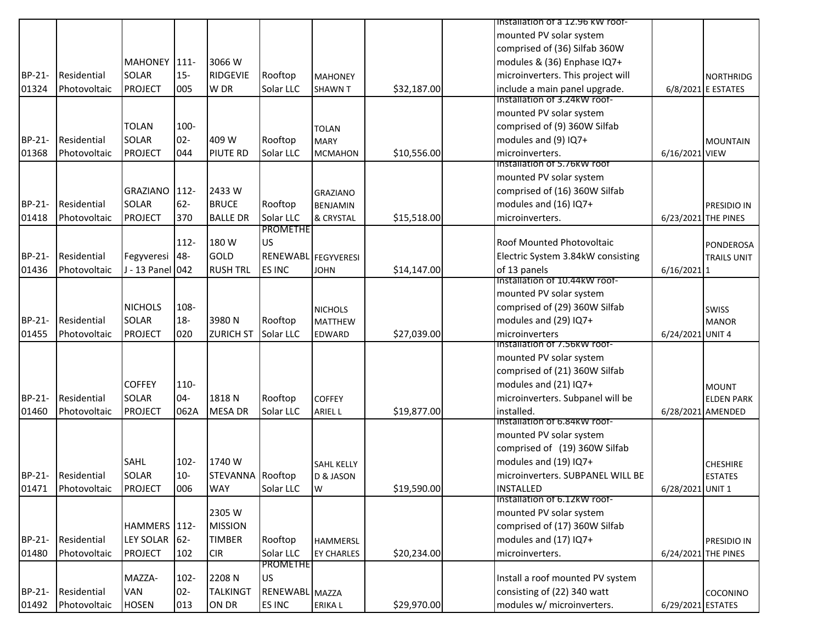|               |              |                  |         |                  |                     |                                  |             | Tinstallation of a 12.96 KW roof-                    |                   |                     |
|---------------|--------------|------------------|---------|------------------|---------------------|----------------------------------|-------------|------------------------------------------------------|-------------------|---------------------|
|               |              |                  |         |                  |                     |                                  |             | mounted PV solar system                              |                   |                     |
|               |              |                  |         |                  |                     |                                  |             | comprised of (36) Silfab 360W                        |                   |                     |
|               |              | MAHONEY 111-     |         | 3066 W           |                     |                                  |             | modules & (36) Enphase IQ7+                          |                   |                     |
| BP-21-        | Residential  | <b>SOLAR</b>     | $15 -$  | <b>RIDGEVIE</b>  | Rooftop             | <b>MAHONEY</b>                   |             | microinverters. This project will                    |                   | <b>NORTHRIDG</b>    |
| 01324         | Photovoltaic | <b>PROJECT</b>   | 005     | W DR             | Solar LLC           | <b>SHAWN T</b>                   | \$32,187.00 | include a main panel upgrade.                        |                   | 6/8/2021 E ESTATES  |
|               |              |                  |         |                  |                     |                                  |             | Installation of 3.24kW roof-                         |                   |                     |
|               |              |                  |         |                  |                     |                                  |             | mounted PV solar system                              |                   |                     |
|               |              | <b>TOLAN</b>     | 100-    |                  |                     | <b>TOLAN</b>                     |             | comprised of (9) 360W Silfab                         |                   |                     |
| BP-21-        | Residential  | <b>SOLAR</b>     | $02 -$  | 409 W            | Rooftop             | <b>MARY</b>                      |             | modules and (9) IQ7+                                 |                   | <b>MOUNTAIN</b>     |
| 01368         | Photovoltaic | <b>PROJECT</b>   | 044     | <b>PIUTE RD</b>  | Solar LLC           | <b>MCMAHON</b>                   | \$10,556.00 | microinverters.                                      | 6/16/2021 VIEW    |                     |
|               |              |                  |         |                  |                     |                                  |             | Installation of 5.76kW roof                          |                   |                     |
|               |              |                  |         |                  |                     |                                  |             | mounted PV solar system                              |                   |                     |
|               |              | <b>GRAZIANO</b>  | $112 -$ | 2433W            |                     | <b>GRAZIANO</b>                  |             | comprised of (16) 360W Silfab                        |                   |                     |
| BP-21-        | Residential  | <b>SOLAR</b>     | $62-$   | <b>BRUCE</b>     | Rooftop             | <b>BENJAMIN</b>                  |             | modules and (16) IQ7+                                |                   | <b>PRESIDIO IN</b>  |
| 01418         | Photovoltaic | <b>PROJECT</b>   | 370     | <b>BALLE DR</b>  | Solar LLC           | & CRYSTAL                        | \$15,518.00 | microinverters.                                      |                   | 6/23/2021 THE PINES |
|               |              |                  |         |                  | <b>PROMETHE</b>     |                                  |             |                                                      |                   |                     |
|               |              |                  | $112 -$ | 180 W            | US                  |                                  |             | <b>Roof Mounted Photovoltaic</b>                     |                   | PONDEROSA           |
| BP-21-        | Residential  | Fegyveresi       | 48-     | <b>GOLD</b>      | RENEWABL FEGYVERESI |                                  |             | Electric System 3.84kW consisting                    |                   | <b>TRAILS UNIT</b>  |
| 01436         | Photovoltaic | J - 13 Panel 042 |         | <b>RUSH TRL</b>  | ES INC              | <b>JOHN</b>                      | \$14,147.00 | of 13 panels<br><b>Installation of 10.44kW roof-</b> | $6/16/2021$ 1     |                     |
|               |              |                  |         |                  |                     |                                  |             | mounted PV solar system                              |                   |                     |
|               |              | <b>NICHOLS</b>   | 108-    |                  |                     |                                  |             | comprised of (29) 360W Silfab                        |                   |                     |
| BP-21-        | Residential  | <b>SOLAR</b>     | $18-$   | 3980N            | Rooftop             | <b>NICHOLS</b><br><b>MATTHEW</b> |             | modules and (29) IQ7+                                |                   | SWISS               |
| 01455         | Photovoltaic | <b>PROJECT</b>   | 020     | <b>ZURICH ST</b> | Solar LLC           | <b>EDWARD</b>                    | \$27,039.00 | microinverters                                       | 6/24/2021 UNIT 4  | <b>MANOR</b>        |
|               |              |                  |         |                  |                     |                                  |             | Installation of 7.56KW roof-                         |                   |                     |
|               |              |                  |         |                  |                     |                                  |             | mounted PV solar system                              |                   |                     |
|               |              |                  |         |                  |                     |                                  |             | comprised of (21) 360W Silfab                        |                   |                     |
|               |              | <b>COFFEY</b>    | 110-    |                  |                     |                                  |             | modules and (21) IQ7+                                |                   | <b>MOUNT</b>        |
| <b>BP-21-</b> | Residential  | <b>SOLAR</b>     | $04 -$  | 1818N            | Rooftop             | <b>COFFEY</b>                    |             | microinverters. Subpanel will be                     |                   | <b>ELDEN PARK</b>   |
| 01460         | Photovoltaic | <b>PROJECT</b>   | 062A    | <b>MESA DR</b>   | Solar LLC           | <b>ARIEL L</b>                   | \$19,877.00 | installed.                                           |                   | 6/28/2021 AMENDED   |
|               |              |                  |         |                  |                     |                                  |             | Installation of 6.84KW roof-                         |                   |                     |
|               |              |                  |         |                  |                     |                                  |             | mounted PV solar system                              |                   |                     |
|               |              |                  |         |                  |                     |                                  |             | comprised of (19) 360W Silfab                        |                   |                     |
|               |              | SAHL             | $102 -$ | 1740 W           |                     | <b>SAHL KELLY</b>                |             | modules and (19) IQ7+                                |                   | <b>CHESHIRE</b>     |
| BP-21-        | Residential  | <b>SOLAR</b>     | $10-$   | STEVANNA Rooftop |                     | D & JASON                        |             | microinverters. SUBPANEL WILL BE                     |                   | <b>ESTATES</b>      |
| 01471         | Photovoltaic | <b>PROJECT</b>   | 006     | <b>WAY</b>       | Solar LLC           | W                                | \$19,590.00 | <b>INSTALLED</b>                                     | 6/28/2021 UNIT 1  |                     |
|               |              |                  |         |                  |                     |                                  |             | Installation of 6.12kW roof-                         |                   |                     |
|               |              |                  |         | 2305 W           |                     |                                  |             | mounted PV solar system                              |                   |                     |
|               |              | HAMMERS 112-     |         | <b>MISSION</b>   |                     |                                  |             | comprised of (17) 360W Silfab                        |                   |                     |
| BP-21-        | Residential  | <b>LEY SOLAR</b> | $62 -$  | <b>TIMBER</b>    | Rooftop             | <b>HAMMERSL</b>                  |             | modules and (17) IQ7+                                |                   | PRESIDIO IN         |
| 01480         | Photovoltaic | <b>PROJECT</b>   | 102     | <b>CIR</b>       | Solar LLC           | <b>EY CHARLES</b>                | \$20,234.00 | microinverters.                                      |                   | 6/24/2021 THE PINES |
|               |              |                  |         |                  | <b>PROMETHE</b>     |                                  |             |                                                      |                   |                     |
|               |              | MAZZA-           | 102-    | 2208 N           | US                  |                                  |             | Install a roof mounted PV system                     |                   |                     |
| BP-21-        | Residential  | VAN              | $02 -$  | <b>TALKINGT</b>  | RENEWABL MAZZA      |                                  |             | consisting of (22) 340 watt                          |                   | COCONINO            |
| 01492         | Photovoltaic | <b>HOSEN</b>     | 013     | ON DR            | ES INC              | ERIKA L                          | \$29,970.00 | modules w/ microinverters.                           | 6/29/2021 ESTATES |                     |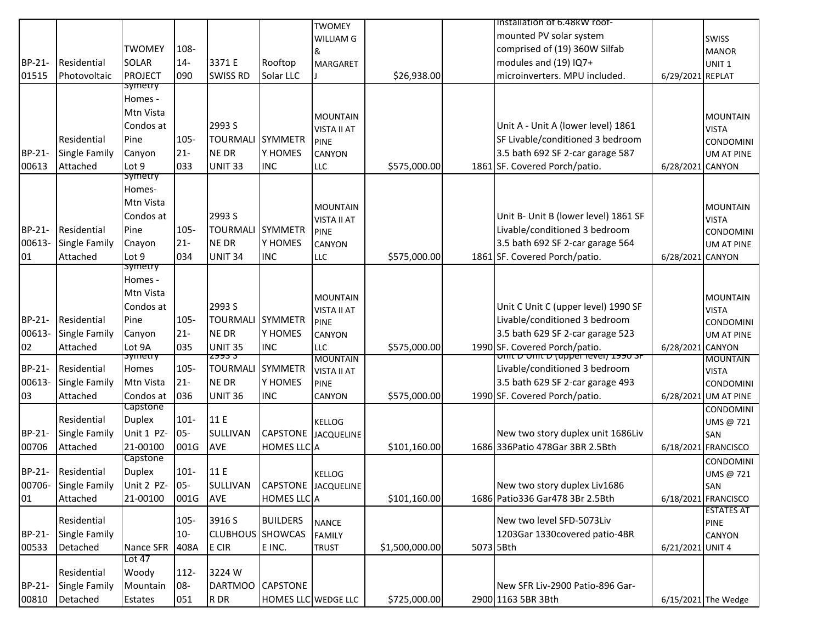|               |                      |                      |             |                         |                              | <b>TWOMEY</b>      |                |           | Installation of 6.48kW roof-                                    |                  |                                 |
|---------------|----------------------|----------------------|-------------|-------------------------|------------------------------|--------------------|----------------|-----------|-----------------------------------------------------------------|------------------|---------------------------------|
|               |                      |                      |             |                         |                              | WILLIAM G          |                |           | mounted PV solar system                                         |                  | <b>SWISS</b>                    |
|               |                      | <b>TWOMEY</b>        | 108-        |                         |                              | &                  |                |           | comprised of (19) 360W Silfab                                   |                  | <b>MANOR</b>                    |
| BP-21-        | Residential          | SOLAR                | $14-$       | 3371 E                  | Rooftop                      | <b>MARGARET</b>    |                |           | modules and (19) IQ7+                                           |                  | UNIT <sub>1</sub>               |
| 01515         | Photovoltaic         | <b>PROJECT</b>       | 090         | <b>SWISS RD</b>         | Solar LLC                    |                    | \$26,938.00    |           | microinverters. MPU included.                                   | 6/29/2021 REPLAT |                                 |
|               |                      | symetry              |             |                         |                              |                    |                |           |                                                                 |                  |                                 |
|               |                      | Homes -              |             |                         |                              |                    |                |           |                                                                 |                  |                                 |
|               |                      | Mtn Vista            |             |                         |                              | <b>MOUNTAIN</b>    |                |           |                                                                 |                  | <b>MOUNTAIN</b>                 |
|               |                      | Condos at            |             | 2993 S                  |                              | <b>VISTA II AT</b> |                |           | Unit A - Unit A (lower level) 1861                              |                  | <b>VISTA</b>                    |
|               | Residential          | Pine                 | 105-        | <b>TOURMALI</b>         | <b>SYMMETR</b>               | <b>PINE</b>        |                |           | SF Livable/conditioned 3 bedroom                                |                  | <b>CONDOMINI</b>                |
| BP-21-        | <b>Single Family</b> | Canyon               | $21 -$      | <b>NE DR</b>            | Y HOMES                      | CANYON             |                |           | 3.5 bath 692 SF 2-car garage 587                                |                  | <b>UM AT PINE</b>               |
| 00613         | Attached             | Lot 9<br>symetry     | 033         | UNIT <sub>33</sub>      | <b>INC</b>                   | <b>LLC</b>         | \$575,000.00   |           | 1861 SF. Covered Porch/patio.                                   | 6/28/2021 CANYON |                                 |
|               |                      | Homes-               |             |                         |                              |                    |                |           |                                                                 |                  |                                 |
|               |                      | Mtn Vista            |             |                         |                              |                    |                |           |                                                                 |                  |                                 |
|               |                      | Condos at            |             | 2993 S                  |                              | <b>MOUNTAIN</b>    |                |           | Unit B- Unit B (lower level) 1861 SF                            |                  | <b>MOUNTAIN</b>                 |
| BP-21-        | Residential          | Pine                 | $105 -$     | <b>TOURMALI SYMMETR</b> |                              | <b>VISTA II AT</b> |                |           | Livable/conditioned 3 bedroom                                   |                  | <b>VISTA</b>                    |
| 00613-        | <b>Single Family</b> | Cnayon               | $21 -$      | <b>NE DR</b>            | Y HOMES                      | <b>PINE</b>        |                |           | 3.5 bath 692 SF 2-car garage 564                                |                  | <b>CONDOMINI</b>                |
| 01            | Attached             | Lot 9                | 034         | <b>UNIT 34</b>          | <b>INC</b>                   | CANYON<br>LLC      | \$575,000.00   |           | 1861 SF. Covered Porch/patio.                                   |                  | <b>UM AT PINE</b>               |
|               |                      | symetry              |             |                         |                              |                    |                |           |                                                                 | 6/28/2021 CANYON |                                 |
|               |                      | Homes -              |             |                         |                              |                    |                |           |                                                                 |                  |                                 |
|               |                      | Mtn Vista            |             |                         |                              | <b>MOUNTAIN</b>    |                |           |                                                                 |                  |                                 |
|               |                      | Condos at            |             | 2993 S                  |                              | VISTA II AT        |                |           | Unit C Unit C (upper level) 1990 SF                             |                  | <b>MOUNTAIN</b><br><b>VISTA</b> |
| <b>BP-21-</b> | Residential          | Pine                 | $105 -$     | <b>TOURMALI</b>         | <b>SYMMETR</b>               | <b>PINE</b>        |                |           | Livable/conditioned 3 bedroom                                   |                  | <b>CONDOMINI</b>                |
| 00613-        | Single Family        | Canyon               | $21 -$      | <b>NE DR</b>            | Y HOMES                      | CANYON             |                |           | 3.5 bath 629 SF 2-car garage 523                                |                  | <b>UM AT PINE</b>               |
| 02            | Attached             | Lot 9A               | 035         | <b>UNIT 35</b>          | <b>INC</b>                   | LLC                | \$575,000.00   |           | 1990 SF. Covered Porch/patio.                                   | 6/28/2021 CANYON |                                 |
|               |                      | <del>symetry</del>   |             | 2995 J                  |                              | <b>MOUNTAIN</b>    |                |           | <del>זה טפפו (upper rever) ש unit ש unit</del>                  |                  | <b>MOUNTAIN</b>                 |
| BP-21-        | Residential          | Homes                | 105-        | <b>TOURMALI SYMMETR</b> |                              | <b>VISTA II AT</b> |                |           | Livable/conditioned 3 bedroom                                   |                  | <b>VISTA</b>                    |
| 00613-        | <b>Single Family</b> | Mtn Vista            | $21 -$      | <b>NE DR</b>            | Y HOMES                      | <b>PINE</b>        |                |           | 3.5 bath 629 SF 2-car garage 493                                |                  | <b>CONDOMINI</b>                |
| 03            | Attached             | Condos at            | 036         | <b>UNIT 36</b>          | <b>INC</b>                   | CANYON             | \$575,000.00   |           | 1990 SF. Covered Porch/patio.                                   |                  | 6/28/2021 UM AT PINE            |
|               |                      | Capstone             |             |                         |                              |                    |                |           |                                                                 |                  | <b>CONDOMINI</b>                |
|               | Residential          | <b>Duplex</b>        | $101 -$     | 11 E                    |                              | <b>KELLOG</b>      |                |           |                                                                 |                  | UMS @ 721                       |
| BP-21-        | <b>Single Family</b> | Unit 1 PZ-           | 05-         | <b>SULLIVAN</b>         | CAPSTONE                     | <b>JACQUELINE</b>  |                |           | New two story duplex unit 1686Liv                               |                  | SAN                             |
| 00706         | Attached             | 21-00100<br>Capstone | 001G        | AVE                     | <b>HOMES LLC</b> A           |                    | \$101,160.00   |           | 1686 336 Patio 478 Gar 3BR 2.5 Bth                              |                  | 6/18/2021 FRANCISCO             |
| BP-21-        | Residential          | <b>Duplex</b>        | $101 -$     | 11 E                    |                              |                    |                |           |                                                                 |                  | <b>CONDOMINI</b>                |
|               | 00706-Single Family  | Unit 2 PZ- 05-       |             |                         | SULLIVAN CAPSTONE JACQUELINE | <b>KELLOG</b>      |                |           |                                                                 |                  | UMS @ 721                       |
|               | Attached             |                      | <b>001G</b> | AVE                     | HOMES LLC A                  |                    | \$101,160.00   |           | New two story duplex Liv1686<br>1686 Patio336 Gar478 3Br 2.5Bth |                  | SAN<br>6/18/2021 FRANCISCO      |
| 01            |                      | 21-00100             |             |                         |                              |                    |                |           |                                                                 |                  | <b>ESTATES AT</b>               |
|               | Residential          |                      | $105 -$     | 3916 S                  | <b>BUILDERS</b>              | <b>NANCE</b>       |                |           | New two level SFD-5073Liv                                       |                  | <b>PINE</b>                     |
| BP-21-        | <b>Single Family</b> |                      | $10 -$      | <b>CLUBHOUS</b> SHOWCAS |                              | <b>FAMILY</b>      |                |           | 1203Gar 1330covered patio-4BR                                   |                  | CANYON                          |
| 00533         | Detached             | Nance SFR            | 408A        | E CIR                   | E INC.                       | <b>TRUST</b>       | \$1,500,000.00 | 5073 5Bth |                                                                 | 6/21/2021 UNIT 4 |                                 |
|               |                      | Lot 47               |             |                         |                              |                    |                |           |                                                                 |                  |                                 |
|               | Residential          | Woody                | $112 -$     | 3224W                   |                              |                    |                |           |                                                                 |                  |                                 |
| BP-21-        | <b>Single Family</b> | Mountain             | 08-         | <b>DARTMOO</b>          | <b>CAPSTONE</b>              |                    |                |           | New SFR Liv-2900 Patio-896 Gar-                                 |                  |                                 |
| 00810         | Detached             | Estates              | 051         | R DR                    | HOMES LLC WEDGE LLC          |                    | \$725,000.00   |           | 2900 1163 5BR 3Bth                                              |                  | 6/15/2021 The Wedge             |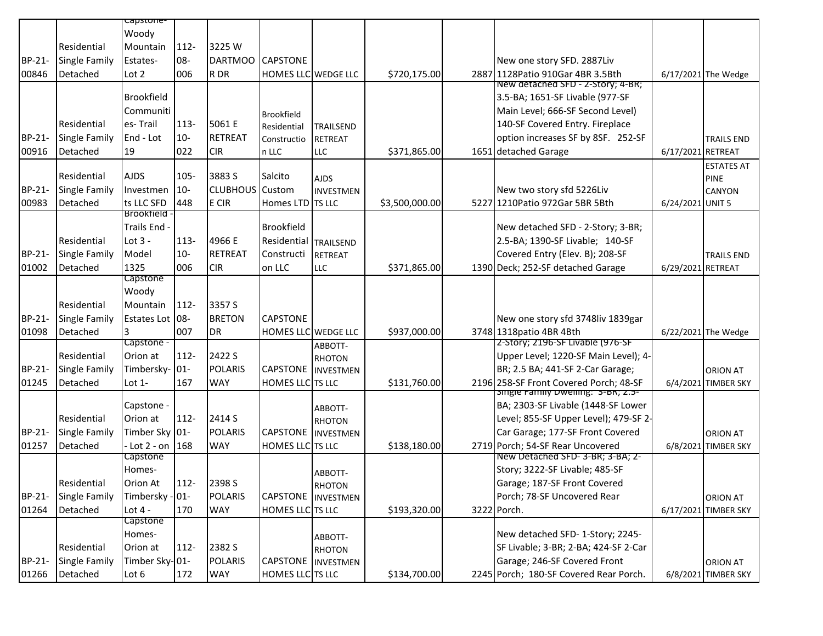|        |                      | capstone-                  |         |                 |                            |                          |                |                                                                          |                   |                      |
|--------|----------------------|----------------------------|---------|-----------------|----------------------------|--------------------------|----------------|--------------------------------------------------------------------------|-------------------|----------------------|
|        |                      | Woody                      |         |                 |                            |                          |                |                                                                          |                   |                      |
|        | Residential          | Mountain                   | 112-    | 3225 W          |                            |                          |                |                                                                          |                   |                      |
| BP-21- | <b>Single Family</b> | Estates-                   | 08-     | <b>DARTMOO</b>  | <b>CAPSTONE</b>            |                          |                | New one story SFD. 2887Liv                                               |                   |                      |
|        | Detached             |                            |         | R DR            |                            |                          |                |                                                                          |                   |                      |
| 00846  |                      | Lot 2                      | 006     |                 | HOMES LLC WEDGE LLC        |                          | \$720,175.00   | 2887 1128 Patio 910 Gar 4BR 3.5 Bth<br>New detached SFD - Z-Story; 4-BR; |                   | 6/17/2021 The Wedge  |
|        |                      | Brookfield                 |         |                 |                            |                          |                | 3.5-BA; 1651-SF Livable (977-SF                                          |                   |                      |
|        |                      | Communiti                  |         |                 |                            |                          |                | Main Level; 666-SF Second Level)                                         |                   |                      |
|        | Residential          | es-Trail                   | 113-    | 5061 E          | <b>Brookfield</b>          |                          |                | 140-SF Covered Entry. Fireplace                                          |                   |                      |
| BP-21- | <b>Single Family</b> | End - Lot                  | $10 -$  | <b>RETREAT</b>  | Residential                | <b>TRAILSEND</b>         |                | option increases SF by 8SF. 252-SF                                       |                   |                      |
|        | Detached             | 19                         |         |                 | Constructio                | <b>RETREAT</b>           |                |                                                                          |                   | <b>TRAILS END</b>    |
| 00916  |                      |                            | 022     | <b>CIR</b>      | n LLC                      | <b>LLC</b>               | \$371,865.00   | 1651 detached Garage                                                     | 6/17/2021 RETREAT |                      |
|        | Residential          | <b>AJDS</b>                | $105 -$ | 3883 S          | Salcito                    |                          |                |                                                                          |                   | <b>ESTATES AT</b>    |
| BP-21- | <b>Single Family</b> | Investmen                  | $10-$   | <b>CLUBHOUS</b> | Custom                     | <b>AJDS</b>              |                | New two story sfd 5226Liv                                                |                   | <b>PINE</b>          |
|        |                      |                            |         |                 |                            | <b>INVESTMEN</b>         |                |                                                                          |                   | <b>CANYON</b>        |
| 00983  | Detached             | ts LLC SFD<br>Brookfield - | 448     | E CIR           | Homes LTD TS LLC           |                          | \$3,500,000.00 | 5227 1210 Patio 972 Gar 5BR 5Bth                                         | 6/24/2021 UNIT 5  |                      |
|        |                      | Trails End                 |         |                 | <b>Brookfield</b>          |                          |                | New detached SFD - 2-Story; 3-BR;                                        |                   |                      |
|        | Residential          | Lot $3 -$                  | 113-    | 4966 E          | Residential                |                          |                | 2.5-BA; 1390-SF Livable; 140-SF                                          |                   |                      |
| BP-21- |                      | Model                      | $10-$   | <b>RETREAT</b>  | Constructi                 | <b>TRAILSEND</b>         |                |                                                                          |                   |                      |
|        | <b>Single Family</b> |                            |         |                 |                            | <b>RETREAT</b>           |                | Covered Entry (Elev. B); 208-SF                                          |                   | <b>TRAILS END</b>    |
| 01002  | Detached             | 1325<br>Capstone           | 006     | <b>CIR</b>      | on LLC                     | <b>LLC</b>               | \$371,865.00   | 1390 Deck; 252-SF detached Garage                                        | 6/29/2021 RETREAT |                      |
|        |                      | Woody                      |         |                 |                            |                          |                |                                                                          |                   |                      |
|        | Residential          | Mountain                   | $112 -$ | 3357 S          |                            |                          |                |                                                                          |                   |                      |
|        | <b>Single Family</b> |                            |         | <b>BRETON</b>   |                            |                          |                |                                                                          |                   |                      |
| BP-21- |                      | Estates Lot 08-            |         |                 | <b>CAPSTONE</b>            |                          |                | New one story sfd 3748liv 1839gar                                        |                   |                      |
| 01098  | Detached             | 3<br>Capstone -            | 007     | <b>DR</b>       | <b>HOMES LLC</b> WEDGE LLC |                          | \$937,000.00   | 3748 1318 patio 4BR 4Bth<br>2-Story; 2196-SF Livable (976-SF             |                   | 6/22/2021 The Wedge  |
|        | Residential          | Orion at                   | $112 -$ | 2422 S          |                            | ABBOTT-                  |                | Upper Level; 1220-SF Main Level); 4-                                     |                   |                      |
| BP-21- | <b>Single Family</b> | Timbersky- 01-             |         | <b>POLARIS</b>  | <b>CAPSTONE</b>            | <b>RHOTON</b>            |                | BR; 2.5 BA; 441-SF 2-Car Garage;                                         |                   |                      |
| 01245  | Detached             |                            | 167     | <b>WAY</b>      | HOMES LLC TS LLC           | INVESTMEN                |                | 2196 258-SF Front Covered Porch; 48-SF                                   |                   | <b>ORION AT</b>      |
|        |                      | Lot $1-$                   |         |                 |                            |                          | \$131,760.00   | single Family Dwelling: 3-BR; 2.5-                                       |                   | 6/4/2021 TIMBER SKY  |
|        |                      | Capstone -                 |         |                 |                            | ABBOTT-                  |                | BA; 2303-SF Livable (1448-SF Lower                                       |                   |                      |
|        | Residential          | Orion at                   | $112 -$ | 2414 S          |                            | <b>RHOTON</b>            |                | Level; 855-SF Upper Level); 479-SF 2-                                    |                   |                      |
| BP-21- | <b>Single Family</b> | Timber Sky 01-             |         | <b>POLARIS</b>  | CAPSTONE                   | INVESTMEN                |                | Car Garage; 177-SF Front Covered                                         |                   | <b>ORION AT</b>      |
| 01257  | Detached             | $-$ Lot 2 - on 168         |         | <b>WAY</b>      | HOMES LLC TS LLC           |                          | \$138,180.00   | 2719 Porch; 54-SF Rear Uncovered                                         |                   | 6/8/2021 TIMBER SKY  |
|        |                      | Capstone                   |         |                 |                            |                          |                | New Detached SFD-3-BR; 3-BA; 2-                                          |                   |                      |
|        |                      | Homes-                     |         |                 |                            |                          |                | Story; 3222-SF Livable; 485-SF                                           |                   |                      |
|        | Residential          | Orion At                   | $112 -$ | 2398 S          |                            | ABBOTT-                  |                | Garage; 187-SF Front Covered                                             |                   |                      |
| BP-21- | <b>Single Family</b> | Timbersky - 01-            |         | <b>POLARIS</b>  | <b>CAPSTONE</b> INVESTMEN  | RHOTON                   |                | Porch; 78-SF Uncovered Rear                                              |                   | <b>ORION AT</b>      |
| 01264  | Detached             | Lot $4 -$                  | 170     | <b>WAY</b>      | HOMES LLC TS LLC           |                          | \$193,320.00   | 3222 Porch.                                                              |                   | 6/17/2021 TIMBER SKY |
|        |                      | Capstone                   |         |                 |                            |                          |                |                                                                          |                   |                      |
|        |                      | Homes-                     |         |                 |                            |                          |                | New detached SFD- 1-Story; 2245-                                         |                   |                      |
|        | Residential          | Orion at                   | 112-    | 2382 S          |                            | ABBOTT-<br><b>RHOTON</b> |                | SF Livable; 3-BR; 2-BA; 424-SF 2-Car                                     |                   |                      |
| BP-21- | <b>Single Family</b> | Timber Sky-01-             |         | <b>POLARIS</b>  | CAPSTONE                   | <b>INVESTMEN</b>         |                | Garage; 246-SF Covered Front                                             |                   | <b>ORION AT</b>      |
| 01266  | Detached             | Lot 6                      | 172     | WAY             | HOMES LLC TS LLC           |                          | \$134,700.00   | 2245 Porch; 180-SF Covered Rear Porch.                                   |                   | 6/8/2021 TIMBER SKY  |
|        |                      |                            |         |                 |                            |                          |                |                                                                          |                   |                      |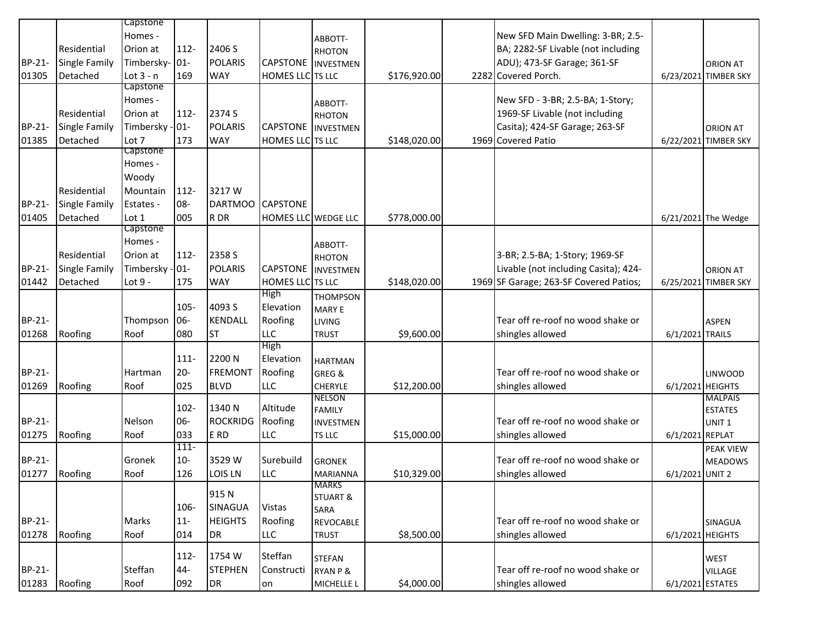|        |                      | Capstone        |         |                  |                           |                          |              |                                        |                  |                                    |
|--------|----------------------|-----------------|---------|------------------|---------------------------|--------------------------|--------------|----------------------------------------|------------------|------------------------------------|
|        |                      | Homes -         |         |                  |                           | ABBOTT-                  |              | New SFD Main Dwelling: 3-BR; 2.5-      |                  |                                    |
|        | Residential          | Orion at        | $112 -$ | 2406 S           |                           | <b>RHOTON</b>            |              | BA; 2282-SF Livable (not including     |                  |                                    |
| BP-21- | <b>Single Family</b> | Timbersky- 01-  |         | <b>POLARIS</b>   | <b>CAPSTONE</b>           | <b>INVESTMEN</b>         |              | ADU); 473-SF Garage; 361-SF            |                  | <b>ORION AT</b>                    |
| 01305  | Detached             | Lot $3 - n$     | 169     | <b>WAY</b>       | <b>HOMES LLC</b> TS LLC   |                          | \$176,920.00 | 2282 Covered Porch.                    |                  | 6/23/2021 TIMBER SKY               |
|        |                      | Capstone        |         |                  |                           |                          |              |                                        |                  |                                    |
|        |                      | Homes -         |         |                  |                           | ABBOTT-                  |              | New SFD - 3-BR; 2.5-BA; 1-Story;       |                  |                                    |
|        | Residential          | Orion at        | $112 -$ | 2374 S           |                           | <b>RHOTON</b>            |              | 1969-SF Livable (not including         |                  |                                    |
| BP-21- | <b>Single Family</b> | Timbersky - 01- |         | <b>POLARIS</b>   | <b>CAPSTONE</b> INVESTMEN |                          |              | Casita); 424-SF Garage; 263-SF         |                  | <b>ORION AT</b>                    |
| 01385  | Detached             | Lot 7           | 173     | <b>WAY</b>       | HOMES LLC TS LLC          |                          | \$148,020.00 | 1969 Covered Patio                     |                  | 6/22/2021 TIMBER SKY               |
|        |                      | Capstone        |         |                  |                           |                          |              |                                        |                  |                                    |
|        |                      | Homes -         |         |                  |                           |                          |              |                                        |                  |                                    |
|        |                      | Woody           |         |                  |                           |                          |              |                                        |                  |                                    |
|        | Residential          | Mountain        | $112 -$ | 3217W            |                           |                          |              |                                        |                  |                                    |
| BP-21- | <b>Single Family</b> | Estates -       | 08-     | DARTMOO CAPSTONE |                           |                          |              |                                        |                  |                                    |
| 01405  | Detached             | Lot 1           | 005     | R DR             | HOMES LLC WEDGE LLC       |                          | \$778,000.00 |                                        |                  | 6/21/2021 The Wedge                |
|        |                      | Capstone        |         |                  |                           |                          |              |                                        |                  |                                    |
|        |                      | Homes -         |         |                  |                           | ABBOTT-                  |              |                                        |                  |                                    |
|        | Residential          | Orion at        | $112 -$ | 2358 S           |                           | <b>RHOTON</b>            |              | 3-BR; 2.5-BA; 1-Story; 1969-SF         |                  |                                    |
| BP-21- | Single Family        | Timbersky - 01- |         | <b>POLARIS</b>   | <b>CAPSTONE</b>           | <b>INVESTMEN</b>         |              | Livable (not including Casita); 424-   |                  | <b>ORION AT</b>                    |
| 01442  | Detached             | Lot 9 -         | 175     | <b>WAY</b>       | HOMES LLC TS LLC          |                          | \$148,020.00 | 1969 SF Garage; 263-SF Covered Patios; |                  | 6/25/2021 TIMBER SKY               |
|        |                      |                 |         |                  | High                      | <b>THOMPSON</b>          |              |                                        |                  |                                    |
|        |                      |                 | 105-    | 4093 S           | Elevation                 | <b>MARY E</b>            |              |                                        |                  |                                    |
| BP-21- |                      | Thompson        | 06-     | KENDALL          | Roofing                   | <b>LIVING</b>            |              | Tear off re-roof no wood shake or      |                  | <b>ASPEN</b>                       |
| 01268  | Roofing              | Roof            | 080     | <b>ST</b>        | LLC                       | <b>TRUST</b>             | \$9,600.00   | shingles allowed                       | 6/1/2021 TRAILS  |                                    |
|        |                      |                 |         |                  | High                      |                          |              |                                        |                  |                                    |
|        |                      |                 | 111-    | 2200 N           | Elevation                 | <b>HARTMAN</b>           |              |                                        |                  |                                    |
| BP-21- |                      | Hartman         | $20 -$  | <b>FREMONT</b>   | Roofing                   | GREG &                   |              | Tear off re-roof no wood shake or      |                  | <b>LINWOOD</b>                     |
| 01269  | Roofing              | Roof            | 025     | <b>BLVD</b>      | LLC                       | CHERYLE<br><b>NELSON</b> | \$12,200.00  | shingles allowed                       |                  | 6/1/2021 HEIGHTS<br><b>MALPAIS</b> |
|        |                      |                 | 102-    | 1340 N           | Altitude                  | <b>FAMILY</b>            |              |                                        |                  | <b>ESTATES</b>                     |
| BP-21- |                      | <b>Nelson</b>   | 06-     | <b>ROCKRIDG</b>  | Roofing                   | INVESTMEN                |              | Tear off re-roof no wood shake or      |                  | UNIT <sub>1</sub>                  |
| 01275  | Roofing              | Roof            | 033     | E RD             | LLC                       | TS LLC                   | \$15,000.00  | shingles allowed                       | 6/1/2021 REPLAT  |                                    |
|        |                      |                 | $111 -$ |                  |                           |                          |              |                                        |                  | <b>PEAK VIEW</b>                   |
| BP-21- |                      | Gronek          | $10-$   | 3529 W           | Surebuild                 | <b>GRONEK</b>            |              | Tear off re-roof no wood shake or      |                  | <b>MEADOWS</b>                     |
| 01277  | Roofing              | Roof            | 126     | LOIS LN          | <b>LLC</b>                | MARIANNA                 | \$10,329.00  | shingles allowed                       | 6/1/2021 UNIT 2  |                                    |
|        |                      |                 |         |                  |                           | <b>IVIAKKS</b>           |              |                                        |                  |                                    |
|        |                      |                 |         | 915N             |                           | <b>STUART &amp;</b>      |              |                                        |                  |                                    |
|        |                      |                 | 106-    | <b>SINAGUA</b>   | Vistas                    | SARA                     |              |                                        |                  |                                    |
| BP-21- |                      | Marks           | $11-$   | <b>HEIGHTS</b>   | Roofing                   | <b>REVOCABLE</b>         |              | Tear off re-roof no wood shake or      |                  | SINAGUA                            |
| 01278  | Roofing              | Roof            | 014     | DR               | <b>LLC</b>                | <b>TRUST</b>             | \$8,500.00   | shingles allowed                       |                  | 6/1/2021 HEIGHTS                   |
|        |                      |                 | 112-    | 1754 W           | Steffan                   |                          |              |                                        |                  |                                    |
| BP-21- |                      | Steffan         |         | <b>STEPHEN</b>   |                           | <b>STEFAN</b>            |              | Tear off re-roof no wood shake or      |                  | <b>WEST</b>                        |
|        |                      |                 | 44-     |                  | Constructi                | RYAN P &                 |              |                                        |                  | VILLAGE                            |
| 01283  | Roofing              | Roof            | 092     | DR               | on                        | MICHELLE L               | \$4,000.00   | shingles allowed                       | 6/1/2021 ESTATES |                                    |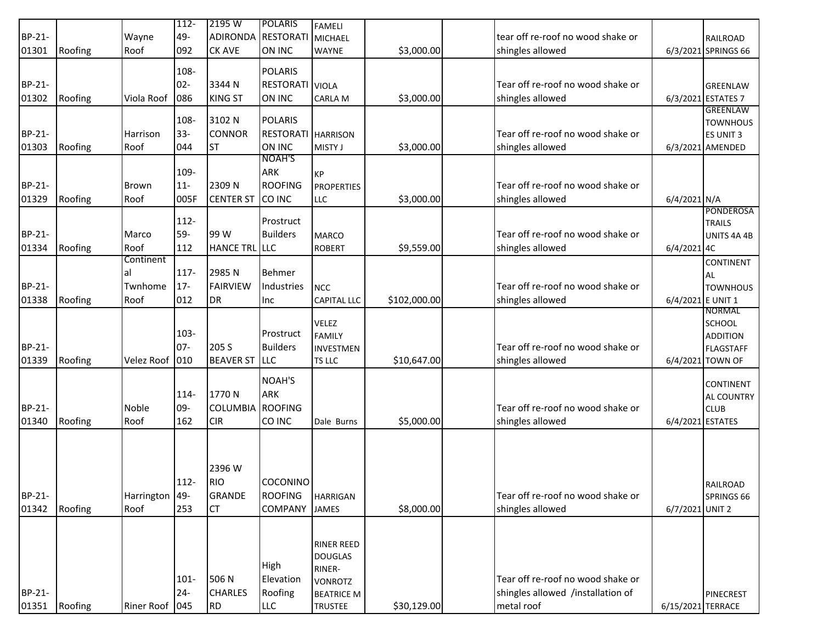|               |         |                   | $112 -$ | 2195 W             | <b>POLARIS</b>            |                    |              |                                   |                   |                     |
|---------------|---------|-------------------|---------|--------------------|---------------------------|--------------------|--------------|-----------------------------------|-------------------|---------------------|
|               |         |                   |         |                    |                           | <b>FAMELI</b>      |              |                                   |                   |                     |
| <b>BP-21-</b> |         | Wayne             | 49-     | ADIRONDA RESTORATI |                           | <b>MICHAEL</b>     |              | tear off re-roof no wood shake or |                   | <b>RAILROAD</b>     |
| 01301         | Roofing | Roof              | 092     | <b>CK AVE</b>      | ON INC                    | <b>WAYNE</b>       | \$3,000.00   | shingles allowed                  |                   | 6/3/2021 SPRINGS 66 |
|               |         |                   | 108-    |                    | <b>POLARIS</b>            |                    |              |                                   |                   |                     |
| BP-21-        |         |                   | $02 -$  | 3344 N             | <b>RESTORATI</b> VIOLA    |                    |              | Tear off re-roof no wood shake or |                   | <b>GREENLAW</b>     |
| 01302         | Roofing | Viola Roof        | 086     | <b>KING ST</b>     | ON INC                    | <b>CARLA M</b>     | \$3,000.00   | shingles allowed                  |                   | 6/3/2021 ESTATES 7  |
|               |         |                   |         |                    |                           |                    |              |                                   |                   | <b>GREENLAW</b>     |
|               |         |                   | 108-    | 3102 N             | <b>POLARIS</b>            |                    |              |                                   |                   | <b>TOWNHOUS</b>     |
| BP-21-        |         | Harrison          | $33 -$  | <b>CONNOR</b>      | <b>RESTORATI HARRISON</b> |                    |              | Tear off re-roof no wood shake or |                   | <b>ES UNIT 3</b>    |
| 01303         | Roofing | Roof              | 044     | <b>ST</b>          | ON INC                    | MISTY J            | \$3,000.00   | shingles allowed                  |                   | 6/3/2021 AMENDED    |
|               |         |                   |         |                    | <b>NOAH'S</b>             |                    |              |                                   |                   |                     |
|               |         |                   | 109-    |                    | ARK                       | KP                 |              |                                   |                   |                     |
| BP-21-        |         | <b>Brown</b>      | $11-$   | 2309N              | <b>ROOFING</b>            | <b>PROPERTIES</b>  |              | Tear off re-roof no wood shake or |                   |                     |
| 01329         | Roofing | Roof              | 005F    | <b>CENTER ST</b>   | CO INC                    | <b>LLC</b>         | \$3,000.00   | shingles allowed                  | 6/4/2021 N/A      |                     |
|               |         |                   |         |                    |                           |                    |              |                                   |                   | PONDEROSA           |
|               |         |                   | $112-$  |                    | Prostruct                 |                    |              |                                   |                   | <b>TRAILS</b>       |
| BP-21-        |         | Marco             | 59-     | 99 W               | <b>Builders</b>           | <b>MARCO</b>       |              | Tear off re-roof no wood shake or |                   | UNITS 4A 4B         |
| 01334         | Roofing | Roof              | 112     | HANCE TRL LLC      |                           | <b>ROBERT</b>      | \$9,559.00   | shingles allowed                  | 6/4/2021 4C       |                     |
|               |         | Continent         |         |                    |                           |                    |              |                                   |                   | <b>CONTINENT</b>    |
|               |         | al                | 117-    | 2985N              | Behmer                    |                    |              |                                   |                   | AL                  |
| BP-21-        |         | Twnhome           | $17 -$  | <b>FAIRVIEW</b>    | Industries                | <b>NCC</b>         |              | Tear off re-roof no wood shake or |                   | <b>TOWNHOUS</b>     |
| 01338         | Roofing | Roof              | 012     | DR                 | Inc                       | <b>CAPITAL LLC</b> | \$102,000.00 | shingles allowed                  | 6/4/2021 E UNIT 1 |                     |
|               |         |                   |         |                    |                           |                    |              |                                   |                   | NORMAL              |
|               |         |                   |         |                    |                           | <b>VELEZ</b>       |              |                                   |                   | <b>SCHOOL</b>       |
|               |         |                   | $103 -$ |                    | Prostruct                 | <b>FAMILY</b>      |              |                                   |                   | <b>ADDITION</b>     |
| BP-21-        |         |                   | $07 -$  | 205 S              | <b>Builders</b>           | INVESTMEN          |              | Tear off re-roof no wood shake or |                   | <b>FLAGSTAFF</b>    |
| 01339         | Roofing | Velez Roof        | 010     | <b>BEAVER ST</b>   | LLC                       | TS LLC             | \$10,647.00  | shingles allowed                  |                   | 6/4/2021 TOWN OF    |
|               |         |                   |         |                    | NOAH'S                    |                    |              |                                   |                   |                     |
|               |         |                   |         |                    |                           |                    |              |                                   |                   | <b>CONTINENT</b>    |
|               |         |                   | 114-    | 1770N              | <b>ARK</b>                |                    |              |                                   |                   | <b>AL COUNTRY</b>   |
| BP-21-        |         | Noble             | 09-     | <b>COLUMBIA</b>    | <b>ROOFING</b>            |                    |              | Tear off re-roof no wood shake or |                   | <b>CLUB</b>         |
| 01340         | Roofing | Roof              | 162     | <b>CIR</b>         | CO INC                    | Dale Burns         | \$5,000.00   | shingles allowed                  | 6/4/2021 ESTATES  |                     |
|               |         |                   |         |                    |                           |                    |              |                                   |                   |                     |
|               |         |                   |         |                    |                           |                    |              |                                   |                   |                     |
|               |         |                   |         | 2396 W             |                           |                    |              |                                   |                   |                     |
|               |         |                   |         | <b>RIO</b>         | COCONINO                  |                    |              |                                   |                   |                     |
|               |         |                   | $112 -$ | <b>GRANDE</b>      |                           |                    |              |                                   |                   | <b>RAILROAD</b>     |
| BP-21-        |         | Harrington 49-    |         |                    | <b>ROOFING</b>            | <b>HARRIGAN</b>    |              | Tear off re-roof no wood shake or |                   | SPRINGS 66          |
| 01342         | Roofing | Roof              | 253     | <b>CT</b>          | <b>COMPANY</b>            | JAMES              | \$8,000.00   | shingles allowed                  | 6/7/2021 UNIT 2   |                     |
|               |         |                   |         |                    |                           |                    |              |                                   |                   |                     |
|               |         |                   |         |                    |                           | <b>RINER REED</b>  |              |                                   |                   |                     |
|               |         |                   |         |                    |                           | <b>DOUGLAS</b>     |              |                                   |                   |                     |
|               |         |                   |         |                    | High                      | RINER-             |              |                                   |                   |                     |
|               |         |                   | $101 -$ | 506 N              | Elevation                 | <b>VONROTZ</b>     |              | Tear off re-roof no wood shake or |                   |                     |
| BP-21-        |         |                   | $24 -$  | <b>CHARLES</b>     | Roofing                   | <b>BEATRICE M</b>  |              | shingles allowed /installation of |                   | <b>PINECREST</b>    |
| 01351         | Roofing | <b>Riner Roof</b> | 045     | <b>RD</b>          | <b>LLC</b>                | <b>TRUSTEE</b>     | \$30,129.00  | metal roof                        | 6/15/2021 TERRACE |                     |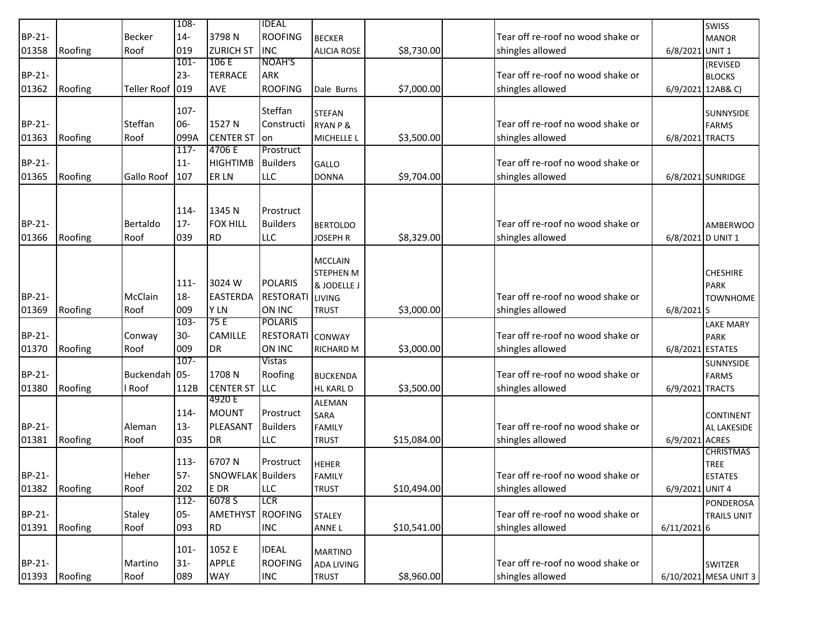|        |         |               | $108 -$ |                          | <b>IDEAL</b>     |                       |             |                                   |                   | <b>SWISS</b>          |
|--------|---------|---------------|---------|--------------------------|------------------|-----------------------|-------------|-----------------------------------|-------------------|-----------------------|
| BP-21- |         | Becker        | $14-$   | 3798N                    | <b>ROOFING</b>   | <b>BECKER</b>         |             | Tear off re-roof no wood shake or |                   | <b>MANOR</b>          |
| 01358  | Roofing | Roof          | 019     | <b>ZURICH ST</b>         | <b>INC</b>       | <b>ALICIA ROSE</b>    | \$8,730.00  | shingles allowed                  | 6/8/2021 UNIT 1   |                       |
|        |         |               | $101 -$ | 106 E                    | NOAH'S           |                       |             |                                   |                   | (REVISED              |
| BP-21- |         |               | $23 -$  | <b>TERRACE</b>           | ARK              |                       |             | Tear off re-roof no wood shake or |                   | <b>BLOCKS</b>         |
| 01362  | Roofing | Teller Roof   | 019     | AVE                      | <b>ROOFING</b>   | Dale Burns            | \$7,000.00  | shingles allowed                  |                   | 6/9/2021 12AB& C)     |
|        |         |               |         |                          |                  |                       |             |                                   |                   |                       |
|        |         |               | 107-    |                          | Steffan          | <b>STEFAN</b>         |             |                                   |                   | <b>SUNNYSIDE</b>      |
| BP-21- |         | Steffan       | 06-     | 1527 N                   | Constructi       | <b>RYAN P &amp;</b>   |             | Tear off re-roof no wood shake or |                   | <b>FARMS</b>          |
| 01363  | Roofing | Roof          | 099A    | <b>CENTER ST</b>         | on               | MICHELLE L            | \$3,500.00  | shingles allowed                  | 6/8/2021 TRACTS   |                       |
|        |         |               | $117 -$ | 4706 E                   | Prostruct        |                       |             |                                   |                   |                       |
| BP-21- |         |               | $11-$   | <b>HIGHTIMB</b>          | <b>Builders</b>  | GALLO                 |             | Tear off re-roof no wood shake or |                   |                       |
| 01365  | Roofing | Gallo Roof    | 107     | ER LN                    | LLC              | <b>DONNA</b>          | \$9,704.00  | shingles allowed                  |                   | 6/8/2021 SUNRIDGE     |
|        |         |               |         |                          |                  |                       |             |                                   |                   |                       |
|        |         |               |         |                          |                  |                       |             |                                   |                   |                       |
|        |         |               | 114-    | 1345 N                   | Prostruct        |                       |             |                                   |                   |                       |
| BP-21- |         | Bertaldo      | $17 -$  | <b>FOX HILL</b>          | <b>Builders</b>  | <b>BERTOLDO</b>       |             | Tear off re-roof no wood shake or |                   | <b>AMBERWOO</b>       |
| 01366  | Roofing | Roof          | 039     | <b>RD</b>                | LLC              | <b>JOSEPH R</b>       | \$8,329.00  | shingles allowed                  | 6/8/2021 D UNIT 1 |                       |
|        |         |               |         |                          |                  | <b>MCCLAIN</b>        |             |                                   |                   |                       |
|        |         |               |         |                          |                  | <b>STEPHEN M</b>      |             |                                   |                   | <b>CHESHIRE</b>       |
|        |         |               | $111 -$ | 3024 W                   | <b>POLARIS</b>   | & JODELLE J           |             |                                   |                   | <b>PARK</b>           |
| BP-21- |         | McClain       | $18-$   | <b>EASTERDA</b>          | <b>RESTORATI</b> | LIVING                |             | Tear off re-roof no wood shake or |                   | <b>TOWNHOME</b>       |
| 01369  | Roofing | Roof          | 009     | Y LN                     | <b>ON INC</b>    | <b>TRUST</b>          | \$3,000.00  | shingles allowed                  | $6/8/2021$ S      |                       |
|        |         |               | $103 -$ | 75 E                     | <b>POLARIS</b>   |                       |             |                                   |                   | <b>LAKE MARY</b>      |
| BP-21- |         | Conway        | $30-$   | <b>CAMILLE</b>           | RESTORATI CONWAY |                       |             | Tear off re-roof no wood shake or |                   | <b>PARK</b>           |
| 01370  | Roofing | Roof          | 009     | <b>DR</b>                | ON INC           | <b>RICHARD M</b>      | \$3,000.00  | shingles allowed                  | 6/8/2021 ESTATES  |                       |
|        |         |               | $107 -$ |                          | <b>Vistas</b>    |                       |             |                                   |                   | <b>SUNNYSIDE</b>      |
| BP-21- |         | Buckendah 05- |         | 1708N                    | Roofing          | <b>BUCKENDA</b>       |             | Tear off re-roof no wood shake or |                   | <b>FARMS</b>          |
| 01380  | Roofing | l Roof        | 112B    | <b>CENTER ST</b>         | LLC              | HL KARL D             | \$3,500.00  | shingles allowed                  | 6/9/2021 TRACTS   |                       |
|        |         |               |         | 4920 E                   |                  |                       |             |                                   |                   |                       |
|        |         |               | 114-    | <b>MOUNT</b>             | Prostruct        | <b>ALEMAN</b><br>SARA |             |                                   |                   | <b>CONTINENT</b>      |
| BP-21- |         | Aleman        | $13 -$  | PLEASANT                 | <b>Builders</b>  | <b>FAMILY</b>         |             | Tear off re-roof no wood shake or |                   |                       |
| 01381  | Roofing | Roof          | 035     | <b>DR</b>                | LLC              | <b>TRUST</b>          | \$15,084.00 | shingles allowed                  | 6/9/2021 ACRES    | AL LAKESIDE           |
|        |         |               |         |                          |                  |                       |             |                                   |                   | <b>CHRISTMAS</b>      |
|        |         |               | $113 -$ | 6707N                    | Prostruct        | <b>HEHER</b>          |             |                                   |                   | TREE                  |
| BP-21- |         | Heher         | $57-$   | <b>SNOWFLAK</b> Builders |                  | <b>FAMILY</b>         |             | Tear off re-roof no wood shake or |                   | <b>ESTATES</b>        |
| 01382  | Roofing | Roof          | 202     | E DR                     | <b>LLC</b>       | <b>TRUST</b>          | \$10,494.00 | shingles allowed                  | 6/9/2021 UNIT 4   |                       |
|        |         |               | $112 -$ | 6078 S                   | <b>LCR</b>       |                       |             |                                   |                   | PONDEROSA             |
| BP-21- |         | Staley        | $05 -$  | AMETHYST                 | <b>ROOFING</b>   | <b>STALEY</b>         |             | Tear off re-roof no wood shake or |                   | <b>TRAILS UNIT</b>    |
| 01391  | Roofing | Roof          | 093     | <b>RD</b>                | <b>INC</b>       | ANNE L                | \$10,541.00 | shingles allowed                  | 6/11/20216        |                       |
|        |         |               |         |                          |                  |                       |             |                                   |                   |                       |
|        |         |               | $101 -$ | 1052 E                   | <b>IDEAL</b>     | <b>MARTINO</b>        |             |                                   |                   |                       |
| BP-21- |         | Martino       | $31 -$  | <b>APPLE</b>             | <b>ROOFING</b>   | <b>ADA LIVING</b>     |             | Tear off re-roof no wood shake or |                   | SWITZER               |
| 01393  | Roofing | Roof          | 089     | <b>WAY</b>               | <b>INC</b>       | <b>TRUST</b>          | \$8,960.00  | shingles allowed                  |                   | 6/10/2021 MESA UNIT 3 |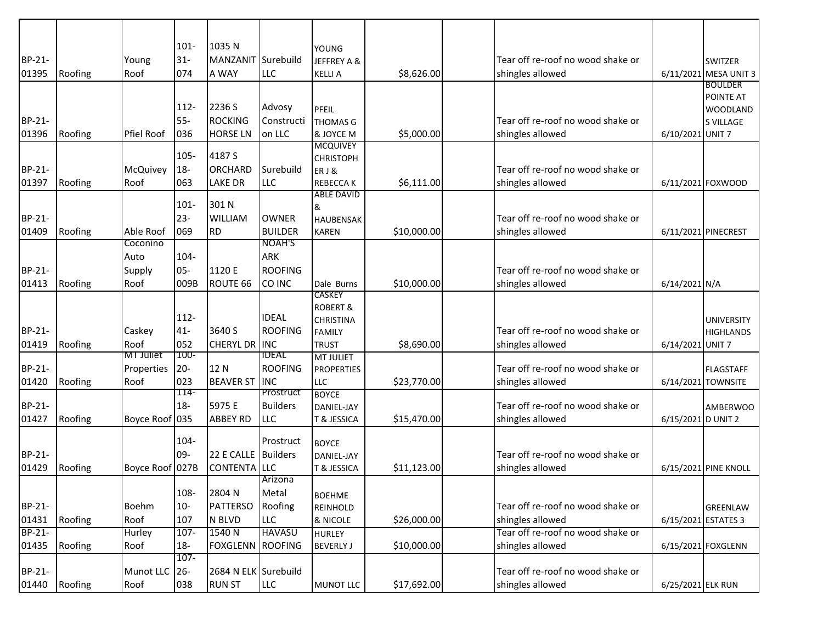|        |         |                   | $101 -$     | 1035N                |                       | <b>YOUNG</b>                          |             |                                   |                     |                                     |
|--------|---------|-------------------|-------------|----------------------|-----------------------|---------------------------------------|-------------|-----------------------------------|---------------------|-------------------------------------|
| BP-21- |         | Young             | $31-$       | <b>MANZANIT</b>      | Surebuild             | JEFFREY A &                           |             | Tear off re-roof no wood shake or |                     | <b>SWITZER</b>                      |
| 01395  | Roofing | Roof              | 074         | A WAY                | <b>LLC</b>            | <b>KELLIA</b>                         | \$8,626.00  | shingles allowed                  |                     | 6/11/2021 MESA UNIT 3               |
|        |         |                   |             |                      |                       |                                       |             |                                   |                     | <b>BOULDER</b>                      |
|        |         |                   | 112-        | 2236 S               | Advosy                |                                       |             |                                   |                     | <b>POINTE AT</b>                    |
| BP-21- |         |                   | $55-$       | <b>ROCKING</b>       | Constructi            | PFEIL<br><b>THOMAS G</b>              |             | Tear off re-roof no wood shake or |                     | <b>WOODLAND</b><br><b>S VILLAGE</b> |
| 01396  | Roofing | <b>Pfiel Roof</b> | 036         | <b>HORSE LN</b>      | on LLC                | & JOYCE M                             | \$5,000.00  | shingles allowed                  | 6/10/2021 UNIT 7    |                                     |
|        |         |                   |             |                      |                       | <b>MCQUIVEY</b>                       |             |                                   |                     |                                     |
|        |         |                   | 105-        | 4187 S               |                       | <b>CHRISTOPH</b>                      |             |                                   |                     |                                     |
| BP-21- |         | McQuivey          | $18 -$      | <b>ORCHARD</b>       | Surebuild             | ERJ&                                  |             | Tear off re-roof no wood shake or |                     |                                     |
| 01397  | Roofing | Roof              | 063         | <b>LAKE DR</b>       | <b>LLC</b>            | <b>REBECCAK</b>                       | \$6,111.00  | shingles allowed                  |                     | 6/11/2021 FOXWOOD                   |
|        |         |                   | $101 -$     | 301 N                |                       | <b>ABLE DAVID</b>                     |             |                                   |                     |                                     |
| BP-21- |         |                   | $23 -$      | <b>WILLIAM</b>       | <b>OWNER</b>          | &<br><b>HAUBENSAK</b>                 |             | Tear off re-roof no wood shake or |                     |                                     |
| 01409  | Roofing | Able Roof         | 069         | <b>RD</b>            | <b>BUILDER</b>        | <b>KAREN</b>                          | \$10,000.00 | shingles allowed                  |                     | 6/11/2021 PINECREST                 |
|        |         | Coconino          |             |                      | NOAH'S                |                                       |             |                                   |                     |                                     |
|        |         | Auto              | $104 -$     |                      | <b>ARK</b>            |                                       |             |                                   |                     |                                     |
| BP-21- |         | Supply            | $05 -$      | 1120 E               | <b>ROOFING</b>        |                                       |             | Tear off re-roof no wood shake or |                     |                                     |
| 01413  | Roofing | Roof              | 009B        | ROUTE 66             | CO INC                | Dale Burns                            | \$10,000.00 | shingles allowed                  | 6/14/2021 N/A       |                                     |
|        |         |                   |             |                      |                       | CASKEY                                |             |                                   |                     |                                     |
|        |         |                   |             |                      |                       | <b>ROBERT &amp;</b>                   |             |                                   |                     |                                     |
|        |         |                   | $112 -$     |                      | <b>IDEAL</b>          | <b>CHRISTINA</b>                      |             |                                   |                     | <b>UNIVERSITY</b>                   |
| BP-21- |         | Caskey            | $41 -$      | 3640 S               | <b>ROOFING</b>        | <b>FAMILY</b>                         |             | Tear off re-roof no wood shake or |                     | <b>HIGHLANDS</b>                    |
| 01419  | Roofing | Roof<br>MI Juliet | 052<br>100- | <b>CHERYL DR</b>     | <b>INC</b><br>ideal   | <b>TRUST</b>                          | \$8,690.00  | shingles allowed                  | 6/14/2021 UNIT 7    |                                     |
| BP-21- |         | Properties        | $20 -$      | 12 N                 | <b>ROOFING</b>        | <b>MT JULIET</b><br><b>PROPERTIES</b> |             | Tear off re-roof no wood shake or |                     | <b>FLAGSTAFF</b>                    |
| 01420  | Roofing | Roof              | 023         | <b>BEAVER ST</b>     | <b>INC</b>            | <b>LLC</b>                            | \$23,770.00 | shingles allowed                  |                     | 6/14/2021 TOWNSITE                  |
|        |         |                   | 114-        |                      | Prostruct             | <b>BOYCE</b>                          |             |                                   |                     |                                     |
| BP-21- |         |                   | $18 -$      | 5975 E               | <b>Builders</b>       | DANIEL-JAY                            |             | Tear off re-roof no wood shake or |                     | <b>AMBERWOO</b>                     |
| 01427  | Roofing | Boyce Roof 035    |             | <b>ABBEY RD</b>      | <b>LLC</b>            | T & JESSICA                           | \$15,470.00 | shingles allowed                  | 6/15/2021 D UNIT 2  |                                     |
|        |         |                   |             |                      |                       |                                       |             |                                   |                     |                                     |
|        |         |                   | $104 -$     |                      | Prostruct             | <b>BOYCE</b>                          |             |                                   |                     |                                     |
| BP-21- |         |                   | 09-         | 22 E CALLE           | <b>Builders</b>       | <b>DANIEL-JAY</b>                     |             | Tear off re-roof no wood shake or |                     |                                     |
| 01429  | Roofing | Boyce Roof 027B   |             | <b>CONTENTA</b>      | <b>LLC</b><br>Arizona | T & JESSICA                           | \$11,123.00 | shingles allowed                  |                     | 6/15/2021 PINE KNOLL                |
|        |         |                   | 108-        | 2804 N               | Metal                 |                                       |             |                                   |                     |                                     |
| BP-21- |         | Boehm             | $10-$       | <b>PATTERSO</b>      | Roofing               | <b>BOEHME</b><br><b>REINHOLD</b>      |             | Tear off re-roof no wood shake or |                     | GREENLAW                            |
| 01431  | Roofing | Roof              | 107         | N BLVD               | <b>LLC</b>            | & NICOLE                              | \$26,000.00 | shingles allowed                  | 6/15/2021 ESTATES 3 |                                     |
| BP-21- |         | <b>Hurley</b>     | $107 -$     | 1540 N               | <b>HAVASU</b>         | <b>HURLEY</b>                         |             | Tear off re-roof no wood shake or |                     |                                     |
| 01435  | Roofing | Roof              | $18-$       | FOXGLENN             | <b>ROOFING</b>        | <b>BEVERLY J</b>                      | \$10,000.00 | shingles allowed                  |                     | 6/15/2021 FOXGLENN                  |
|        |         |                   | $107 -$     |                      |                       |                                       |             |                                   |                     |                                     |
| BP-21- |         | Munot LLC         | $26 -$      | 2684 N ELK Surebuild |                       |                                       |             | Tear off re-roof no wood shake or |                     |                                     |
| 01440  | Roofing | Roof              | 038         | <b>RUN ST</b>        | LLC                   | <b>MUNOT LLC</b>                      | \$17,692.00 | shingles allowed                  | 6/25/2021 ELK RUN   |                                     |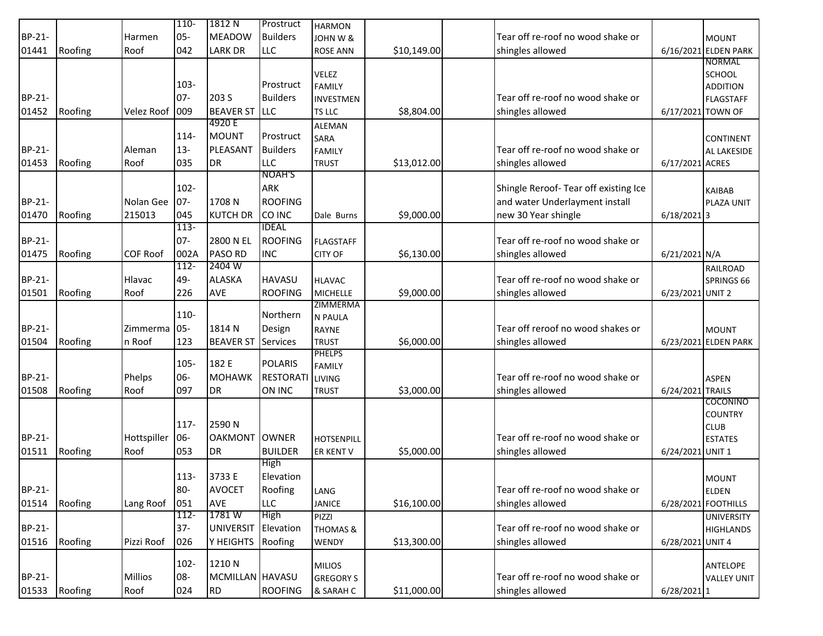|               |         |                   | $110 -$ | 1812 N           | Prostruct        | <b>HARMON</b>                 |             |                                       |                   |                      |
|---------------|---------|-------------------|---------|------------------|------------------|-------------------------------|-------------|---------------------------------------|-------------------|----------------------|
| <b>BP-21-</b> |         | Harmen            | $05 -$  | <b>MEADOW</b>    | <b>Builders</b>  | JOHN W &                      |             | Tear off re-roof no wood shake or     |                   | <b>MOUNT</b>         |
| 01441         | Roofing | Roof              | 042     | <b>LARK DR</b>   | <b>LLC</b>       | <b>ROSE ANN</b>               | \$10,149.00 | shingles allowed                      |                   | 6/16/2021 ELDEN PARK |
|               |         |                   |         |                  |                  |                               |             |                                       |                   | <b>NORMAL</b>        |
|               |         |                   |         |                  |                  | <b>VELEZ</b>                  |             |                                       |                   | <b>SCHOOL</b>        |
|               |         |                   | $103 -$ |                  | Prostruct        | <b>FAMILY</b>                 |             |                                       |                   | <b>ADDITION</b>      |
| <b>BP-21-</b> |         |                   | $07 -$  | 203 S            | <b>Builders</b>  | <b>INVESTMEN</b>              |             | Tear off re-roof no wood shake or     |                   | <b>FLAGSTAFF</b>     |
| 01452         | Roofing | <b>Velez Roof</b> | 009     | <b>BEAVER ST</b> | <b>LLC</b>       | <b>TS LLC</b>                 | \$8,804.00  | shingles allowed                      | 6/17/2021 TOWN OF |                      |
|               |         |                   |         | 4920 E           |                  | <b>ALEMAN</b>                 |             |                                       |                   |                      |
|               |         |                   | 114-    | <b>MOUNT</b>     | Prostruct        | <b>SARA</b>                   |             |                                       |                   | <b>CONTINENT</b>     |
| BP-21-        |         | Aleman            | $13 -$  | PLEASANT         | <b>Builders</b>  | <b>FAMILY</b>                 |             | Tear off re-roof no wood shake or     |                   | AL LAKESIDE          |
| 01453         | Roofing | Roof              | 035     | <b>DR</b>        | <b>LLC</b>       | <b>TRUST</b>                  | \$13,012.00 | shingles allowed                      | 6/17/2021 ACRES   |                      |
|               |         |                   |         |                  | NOAH'S           |                               |             |                                       |                   |                      |
|               |         |                   | $102 -$ |                  | ARK              |                               |             | Shingle Reroof- Tear off existing Ice |                   | <b>KAIBAB</b>        |
| BP-21-        |         | Nolan Gee         | $07 -$  | 1708N            | <b>ROOFING</b>   |                               |             | and water Underlayment install        |                   | PLAZA UNIT           |
| 01470         | Roofing | 215013            | 045     | <b>KUTCH DR</b>  | CO INC           | Dale Burns                    | \$9,000.00  | new 30 Year shingle                   | $6/18/2021$ 3     |                      |
|               |         |                   | $113-$  |                  | <b>IDEAL</b>     |                               |             |                                       |                   |                      |
| <b>BP-21-</b> |         |                   | $07 -$  | 2800 N EL        | <b>ROOFING</b>   | <b>FLAGSTAFF</b>              |             | Tear off re-roof no wood shake or     |                   |                      |
| 01475         | Roofing | <b>COF Roof</b>   | 002A    | <b>PASO RD</b>   | <b>INC</b>       | <b>CITY OF</b>                | \$6,130.00  | shingles allowed                      | 6/21/2021 N/A     |                      |
|               |         |                   | $112 -$ | 2404 W           |                  |                               |             |                                       |                   | <b>RAILROAD</b>      |
| BP-21-        |         | Hlavac            | 49-     | <b>ALASKA</b>    | <b>HAVASU</b>    | <b>HLAVAC</b>                 |             | Tear off re-roof no wood shake or     |                   | SPRINGS 66           |
| 01501         | Roofing | Roof              | 226     | AVE              | <b>ROOFING</b>   | <b>MICHELLE</b>               | \$9,000.00  | shingles allowed                      | 6/23/2021 UNIT 2  |                      |
|               |         |                   |         |                  |                  | ZIMMERMA                      |             |                                       |                   |                      |
|               |         |                   | 110-    |                  | Northern         | N PAULA                       |             |                                       |                   |                      |
| <b>BP-21-</b> |         | Zimmerma          | $05-$   | 1814 N           | Design           | <b>RAYNE</b>                  |             | Tear off reroof no wood shakes or     |                   | <b>MOUNT</b>         |
| 01504         | Roofing | n Roof            | 123     | <b>BEAVER ST</b> | Services         | <b>TRUST</b>                  | \$6,000.00  | shingles allowed                      |                   | 6/23/2021 ELDEN PARK |
|               |         |                   | 105-    | 182 E            | <b>POLARIS</b>   | <b>PHELPS</b>                 |             |                                       |                   |                      |
| BP-21-        |         | Phelps            | 06-     | <b>MOHAWK</b>    | <b>RESTORATI</b> | <b>FAMILY</b>                 |             | Tear off re-roof no wood shake or     |                   |                      |
| 01508         | Roofing | Roof              | 097     | <b>DR</b>        | ON INC           | <b>LIVING</b><br><b>TRUST</b> | \$3,000.00  | shingles allowed                      | 6/24/2021 TRAILS  | <b>ASPEN</b>         |
|               |         |                   |         |                  |                  |                               |             |                                       |                   | COCONINO             |
|               |         |                   |         |                  |                  |                               |             |                                       |                   | <b>COUNTRY</b>       |
|               |         |                   | 117-    | 2590N            |                  |                               |             |                                       |                   | <b>CLUB</b>          |
| BP-21-        |         | Hottspiller       | 06-     | <b>OAKMONT</b>   | <b>OWNER</b>     | <b>HOTSENPILL</b>             |             | Tear off re-roof no wood shake or     |                   | <b>ESTATES</b>       |
| 01511         | Roofing | Roof              | 053     | <b>DR</b>        | <b>BUILDER</b>   | ER KENT V                     | \$5,000.00  | shingles allowed                      | 6/24/2021 UNIT 1  |                      |
|               |         |                   |         |                  | High             |                               |             |                                       |                   |                      |
|               |         |                   | 113-    | 3733 E           | Elevation        |                               |             |                                       |                   | <b>MOUNT</b>         |
| BP-21-        |         |                   | $80-$   | <b>AVOCET</b>    | Roofing          | LANG                          |             | Tear off re-roof no wood shake or     |                   | <b>ELDEN</b>         |
| 01514         | Roofing | Lang Roof         | 051     | AVE              | <b>LLC</b>       | <b>JANICE</b>                 | \$16,100.00 | shingles allowed                      |                   | 6/28/2021 FOOTHILLS  |
|               |         |                   | $112 -$ | 1781 W           | High             | PIZZI                         |             |                                       |                   | <b>UNIVERSITY</b>    |
| BP-21-        |         |                   | $37 -$  | <b>UNIVERSIT</b> | Elevation        | <b>THOMAS &amp;</b>           |             | Tear off re-roof no wood shake or     |                   | <b>HIGHLANDS</b>     |
| 01516         | Roofing | Pizzi Roof        | 026     | Y HEIGHTS        | Roofing          | WENDY                         | \$13,300.00 | shingles allowed                      | 6/28/2021 UNIT 4  |                      |
|               |         |                   |         |                  |                  |                               |             |                                       |                   |                      |
|               |         |                   | 102-    | 1210N            |                  | <b>MILIOS</b>                 |             |                                       |                   | ANTELOPE             |
| BP-21-        |         | <b>Millios</b>    | 08-     | MCMILLAN HAVASU  |                  | <b>GREGORY S</b>              |             | Tear off re-roof no wood shake or     |                   | <b>VALLEY UNIT</b>   |
| 01533         | Roofing | Roof              | 024     | <b>RD</b>        | <b>ROOFING</b>   | & SARAH C                     | \$11,000.00 | shingles allowed                      | $6/28/2021$ 1     |                      |